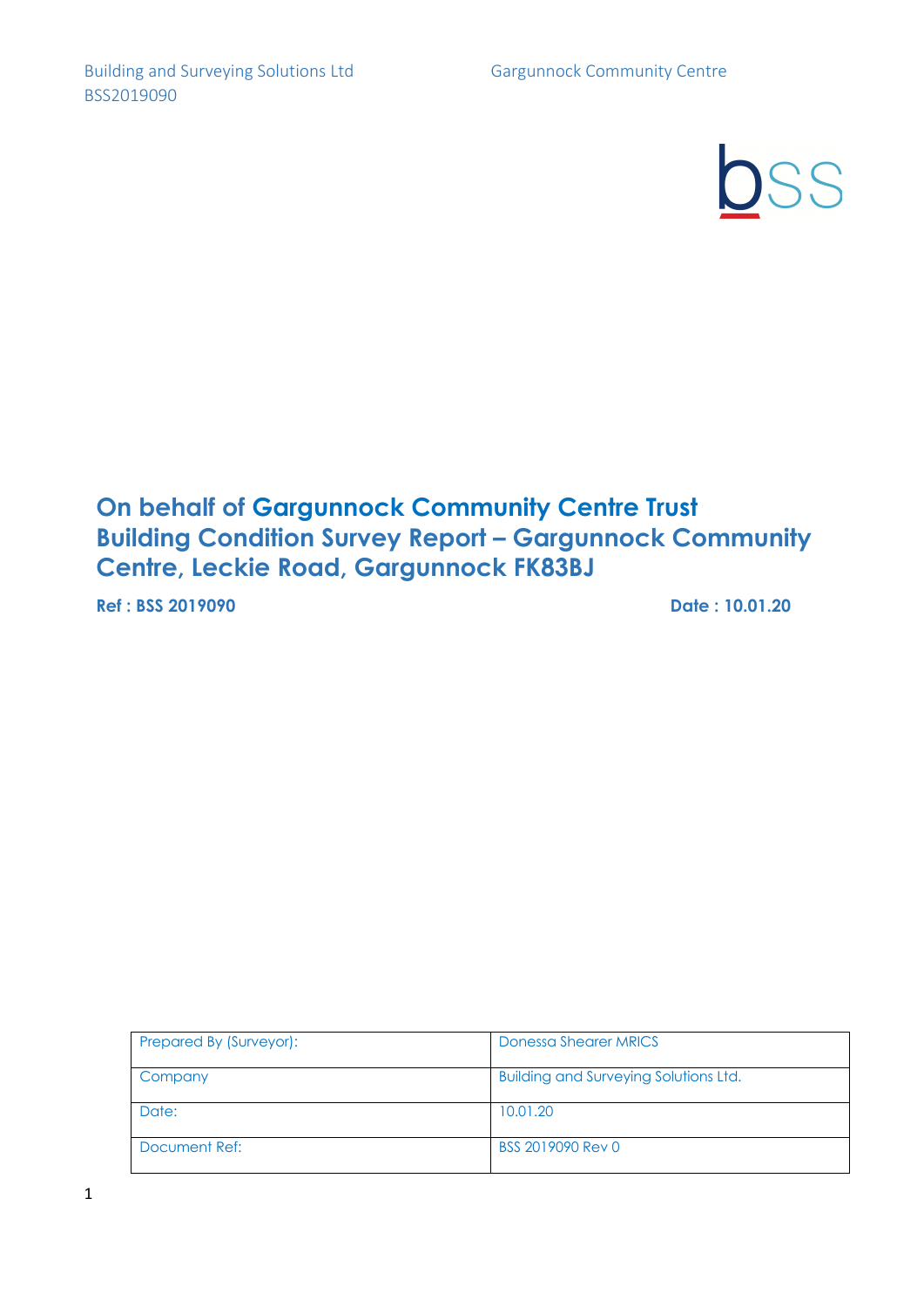SS

# **On behalf of Gargunnock Community Centre Trust Building Condition Survey Report – Gargunnock Community Centre, Leckie Road, Gargunnock FK83BJ**

**Ref : BSS 2019090 Date : 10.01.20**

| Prepared By (Surveyor): | Donessa Shearer MRICS                        |
|-------------------------|----------------------------------------------|
| Company                 | <b>Building and Surveying Solutions Ltd.</b> |
| Date:                   | 10.01.20                                     |
| Document Ref:           | BSS 2019090 Rev 0                            |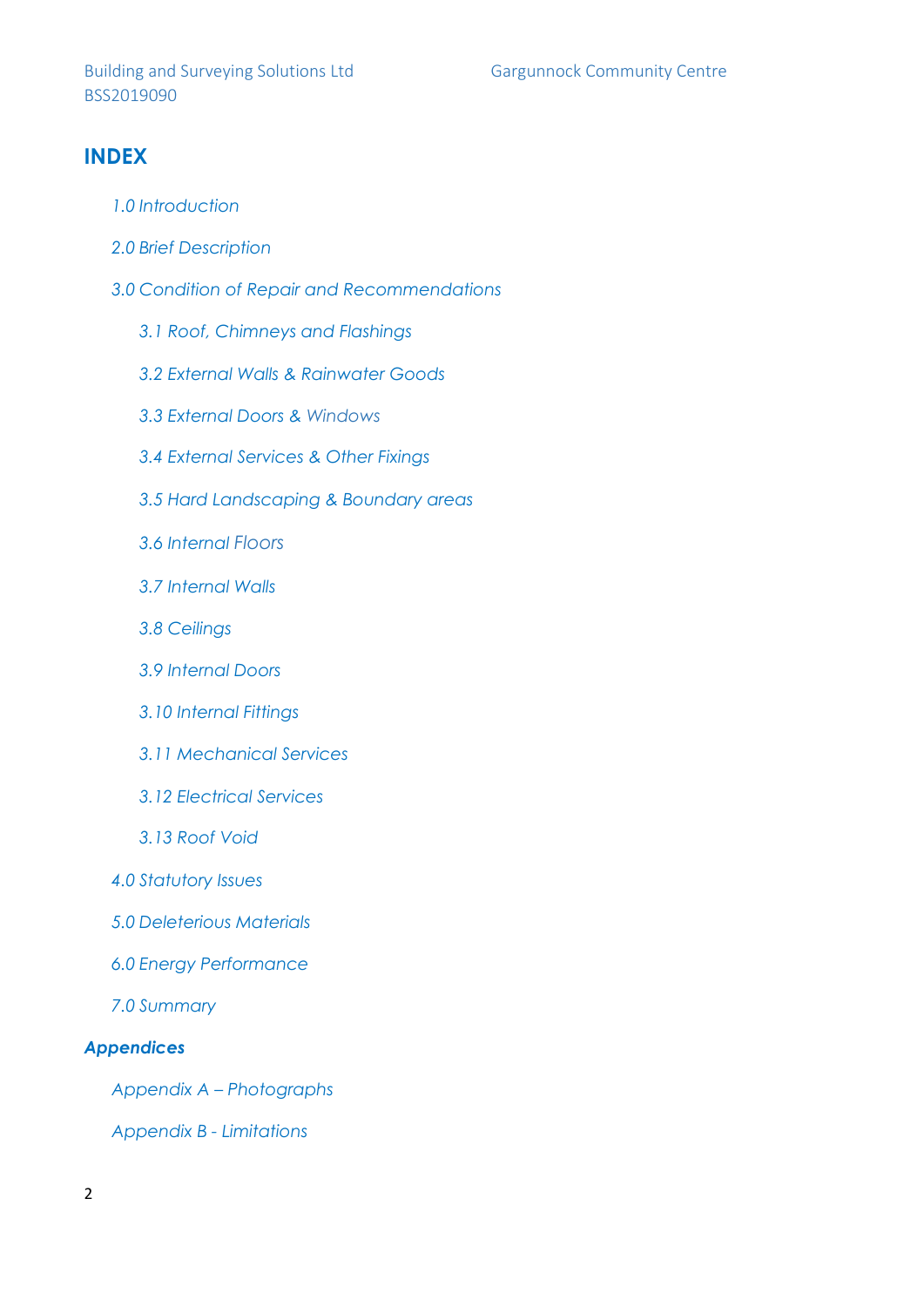## **INDEX**

- *1.0 Introduction*
- *2.0 Brief Description*
- *3.0 Condition of Repair and Recommendations*
	- *3.1 Roof, Chimneys and Flashings*
	- *3.2 External Walls & Rainwater Goods*
	- *3.3 External Doors & Windows*
	- *3.4 External Services & Other Fixings*
	- *3.5 Hard Landscaping & Boundary areas*
	- *3.6 Internal Floors*
	- *3.7 Internal Walls*
	- *3.8 Ceilings*
	- *3.9 Internal Doors*
	- *3.10 Internal Fittings*
	- *3.11 Mechanical Services*
	- *3.12 Electrical Services*
	- *3.13 Roof Void*
- *4.0 Statutory Issues*
- *5.0 Deleterious Materials*
- *6.0 Energy Performance*
- *7.0 Summary*

### *Appendices*

*Appendix A – Photographs*

*Appendix B - Limitations*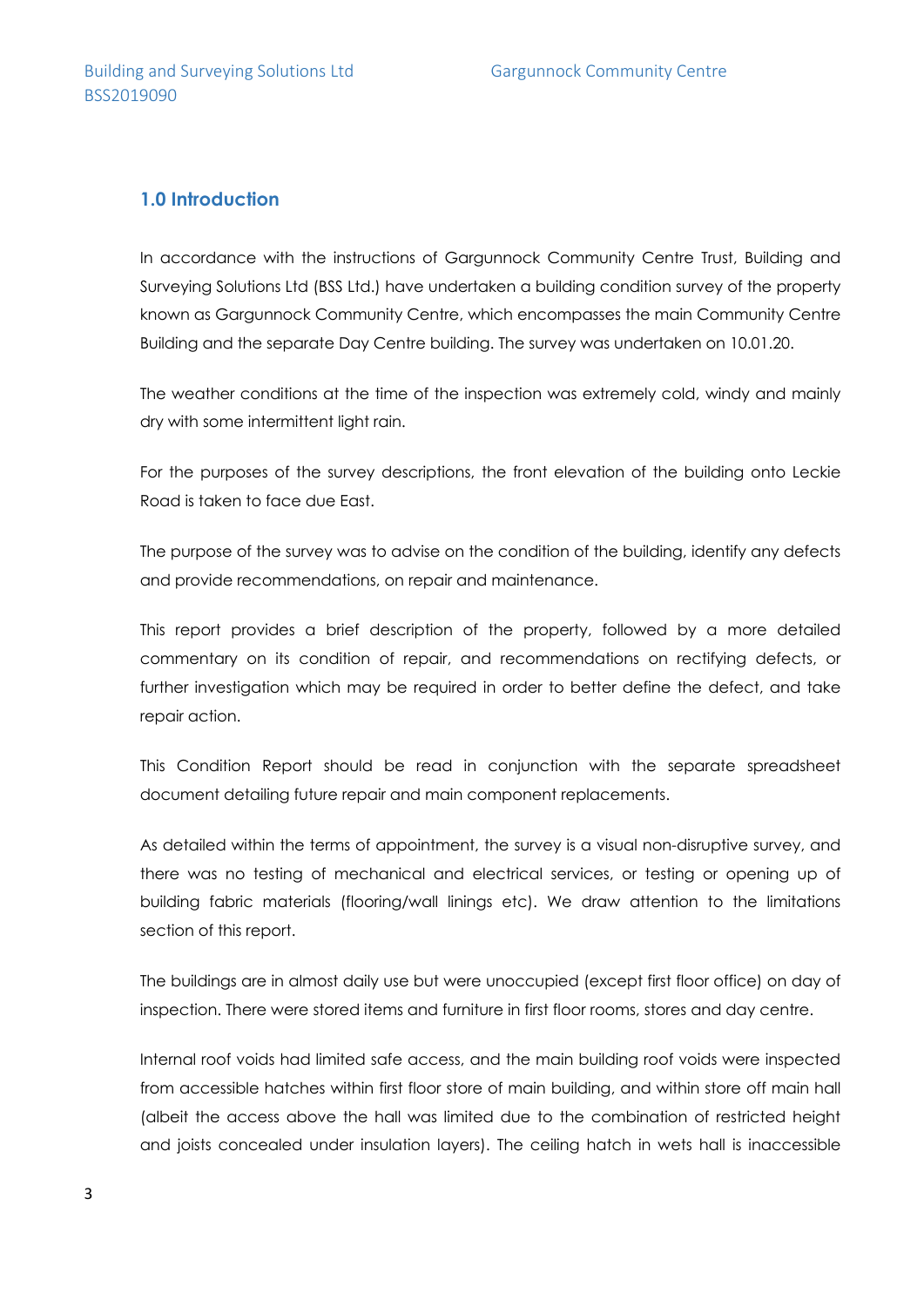### **1.0 Introduction**

In accordance with the instructions of Gargunnock Community Centre Trust, Building and Surveying Solutions Ltd (BSS Ltd.) have undertaken a building condition survey of the property known as Gargunnock Community Centre, which encompasses the main Community Centre Building and the separate Day Centre building. The survey was undertaken on 10.01.20.

The weather conditions at the time of the inspection was extremely cold, windy and mainly dry with some intermittent light rain.

For the purposes of the survey descriptions, the front elevation of the building onto Leckie Road is taken to face due East.

The purpose of the survey was to advise on the condition of the building, identify any defects and provide recommendations, on repair and maintenance.

This report provides a brief description of the property, followed by a more detailed commentary on its condition of repair, and recommendations on rectifying defects, or further investigation which may be required in order to better define the defect, and take repair action.

This Condition Report should be read in conjunction with the separate spreadsheet document detailing future repair and main component replacements.

As detailed within the terms of appointment, the survey is a visual non-disruptive survey, and there was no testing of mechanical and electrical services, or testing or opening up of building fabric materials (flooring/wall linings etc). We draw attention to the limitations section of this report.

The buildings are in almost daily use but were unoccupied (except first floor office) on day of inspection. There were stored items and furniture in first floor rooms, stores and day centre.

Internal roof voids had limited safe access, and the main building roof voids were inspected from accessible hatches within first floor store of main building, and within store off main hall (albeit the access above the hall was limited due to the combination of restricted height and joists concealed under insulation layers). The ceiling hatch in wets hall is inaccessible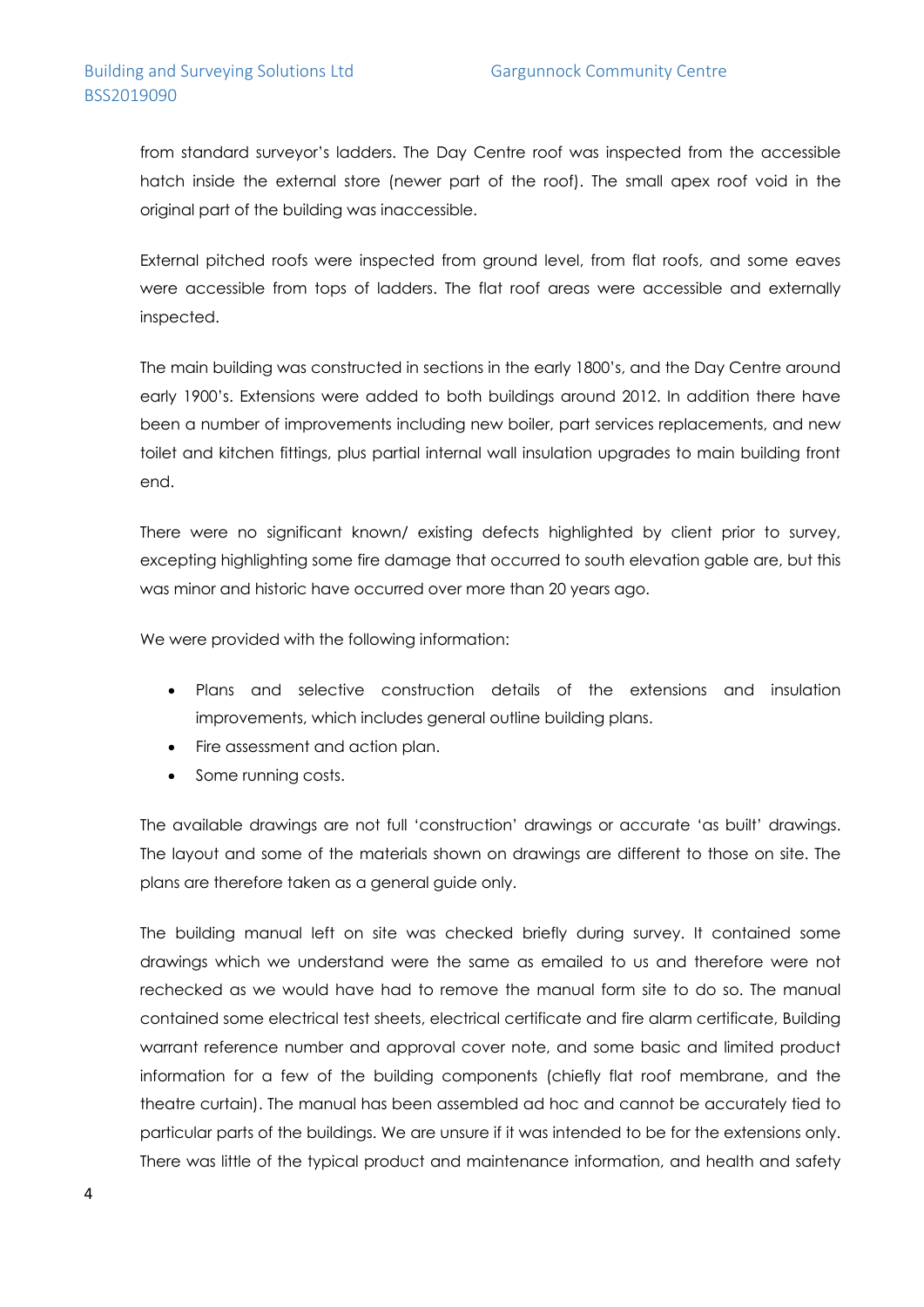from standard surveyor's ladders. The Day Centre roof was inspected from the accessible hatch inside the external store (newer part of the roof). The small apex roof void in the original part of the building was inaccessible.

External pitched roofs were inspected from ground level, from flat roofs, and some eaves were accessible from tops of ladders. The flat roof areas were accessible and externally inspected.

The main building was constructed in sections in the early 1800's, and the Day Centre around early 1900's. Extensions were added to both buildings around 2012. In addition there have been a number of improvements including new boiler, part services replacements, and new toilet and kitchen fittings, plus partial internal wall insulation upgrades to main building front end.

There were no significant known/ existing defects highlighted by client prior to survey, excepting highlighting some fire damage that occurred to south elevation gable are, but this was minor and historic have occurred over more than 20 years ago.

We were provided with the following information:

- Plans and selective construction details of the extensions and insulation improvements, which includes general outline building plans.
- Fire assessment and action plan.
- Some running costs.

The available drawings are not full 'construction' drawings or accurate 'as built' drawings. The layout and some of the materials shown on drawings are different to those on site. The plans are therefore taken as a general guide only.

The building manual left on site was checked briefly during survey. It contained some drawings which we understand were the same as emailed to us and therefore were not rechecked as we would have had to remove the manual form site to do so. The manual contained some electrical test sheets, electrical certificate and fire alarm certificate, Building warrant reference number and approval cover note, and some basic and limited product information for a few of the building components (chiefly flat roof membrane, and the theatre curtain). The manual has been assembled ad hoc and cannot be accurately tied to particular parts of the buildings. We are unsure if it was intended to be for the extensions only. There was little of the typical product and maintenance information, and health and safety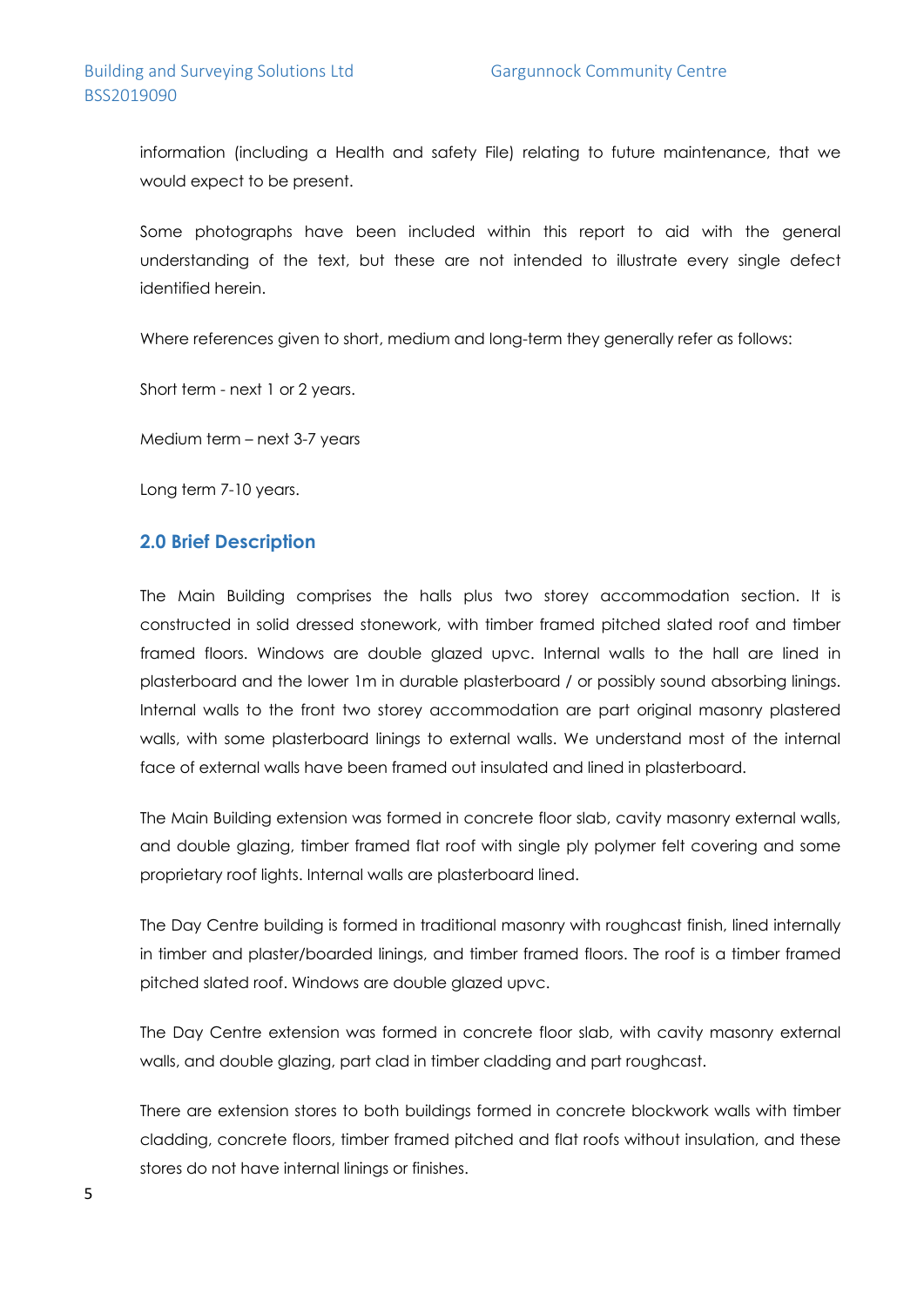information (including a Health and safety File) relating to future maintenance, that we would expect to be present.

Some photographs have been included within this report to aid with the general understanding of the text, but these are not intended to illustrate every single defect identified herein.

Where references given to short, medium and long-term they generally refer as follows:

Short term - next 1 or 2 years.

Medium term – next 3-7 years

Long term 7-10 years.

### **2.0 Brief Description**

The Main Building comprises the halls plus two storey accommodation section. It is constructed in solid dressed stonework, with timber framed pitched slated roof and timber framed floors. Windows are double glazed upvc. Internal walls to the hall are lined in plasterboard and the lower 1m in durable plasterboard / or possibly sound absorbing linings. Internal walls to the front two storey accommodation are part original masonry plastered walls, with some plasterboard linings to external walls. We understand most of the internal face of external walls have been framed out insulated and lined in plasterboard.

The Main Building extension was formed in concrete floor slab, cavity masonry external walls, and double glazing, timber framed flat roof with single ply polymer felt covering and some proprietary roof lights. Internal walls are plasterboard lined.

The Day Centre building is formed in traditional masonry with roughcast finish, lined internally in timber and plaster/boarded linings, and timber framed floors. The roof is a timber framed pitched slated roof. Windows are double glazed upvc.

The Day Centre extension was formed in concrete floor slab, with cavity masonry external walls, and double glazing, part clad in timber cladding and part roughcast.

There are extension stores to both buildings formed in concrete blockwork walls with timber cladding, concrete floors, timber framed pitched and flat roofs without insulation, and these stores do not have internal linings or finishes.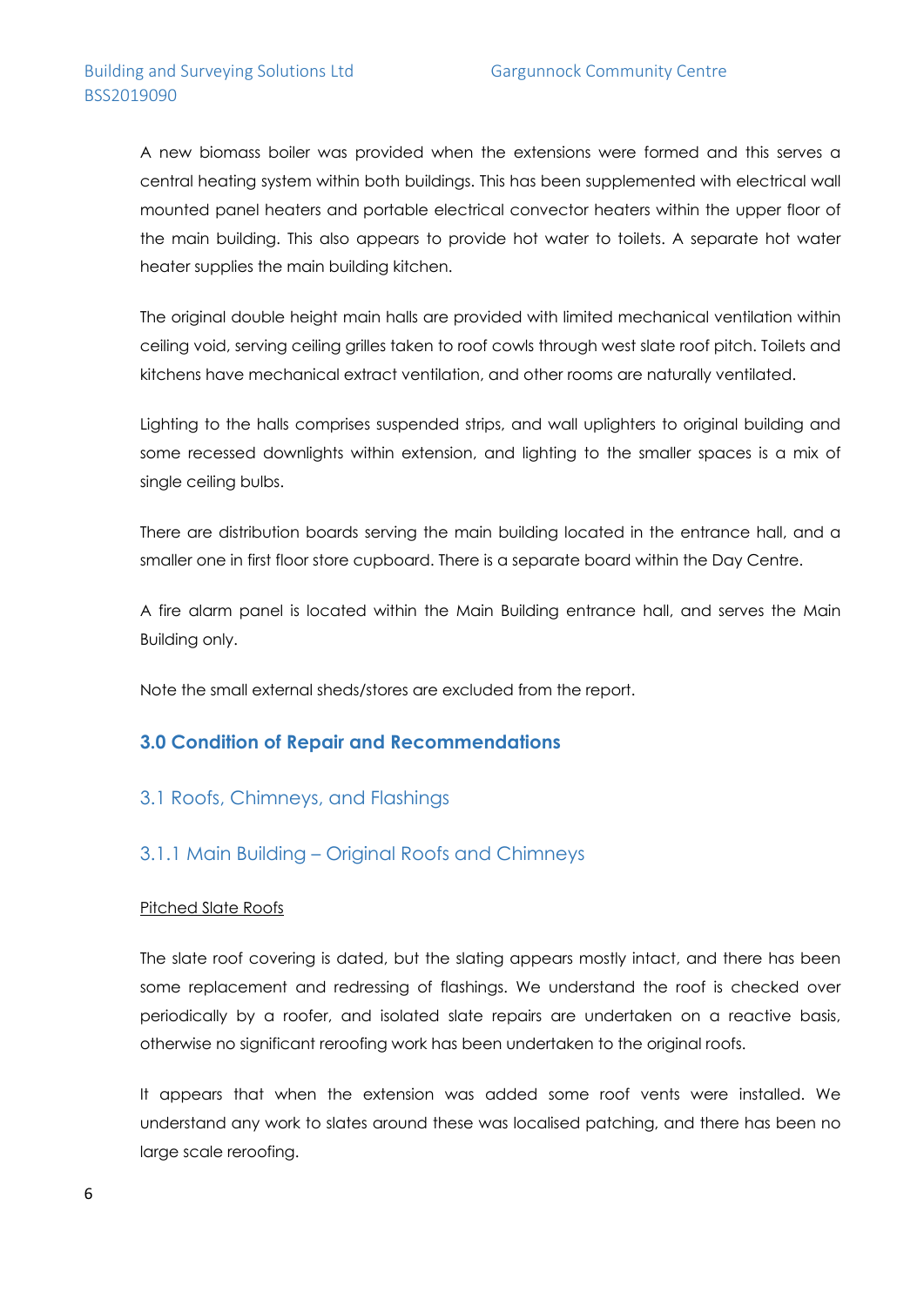A new biomass boiler was provided when the extensions were formed and this serves a central heating system within both buildings. This has been supplemented with electrical wall mounted panel heaters and portable electrical convector heaters within the upper floor of the main building. This also appears to provide hot water to toilets. A separate hot water heater supplies the main building kitchen.

The original double height main halls are provided with limited mechanical ventilation within ceiling void, serving ceiling grilles taken to roof cowls through west slate roof pitch. Toilets and kitchens have mechanical extract ventilation, and other rooms are naturally ventilated.

Lighting to the halls comprises suspended strips, and wall uplighters to original building and some recessed downlights within extension, and lighting to the smaller spaces is a mix of single ceiling bulbs.

There are distribution boards serving the main building located in the entrance hall, and a smaller one in first floor store cupboard. There is a separate board within the Day Centre.

A fire alarm panel is located within the Main Building entrance hall, and serves the Main Building only.

Note the small external sheds/stores are excluded from the report.

### **3.0 Condition of Repair and Recommendations**

### 3.1 Roofs, Chimneys, and Flashings

### 3.1.1 Main Building – Original Roofs and Chimneys

#### Pitched Slate Roofs

The slate roof covering is dated, but the slating appears mostly intact, and there has been some replacement and redressing of flashings. We understand the roof is checked over periodically by a roofer, and isolated slate repairs are undertaken on a reactive basis, otherwise no significant reroofing work has been undertaken to the original roofs.

It appears that when the extension was added some roof vents were installed. We understand any work to slates around these was localised patching, and there has been no large scale reroofing.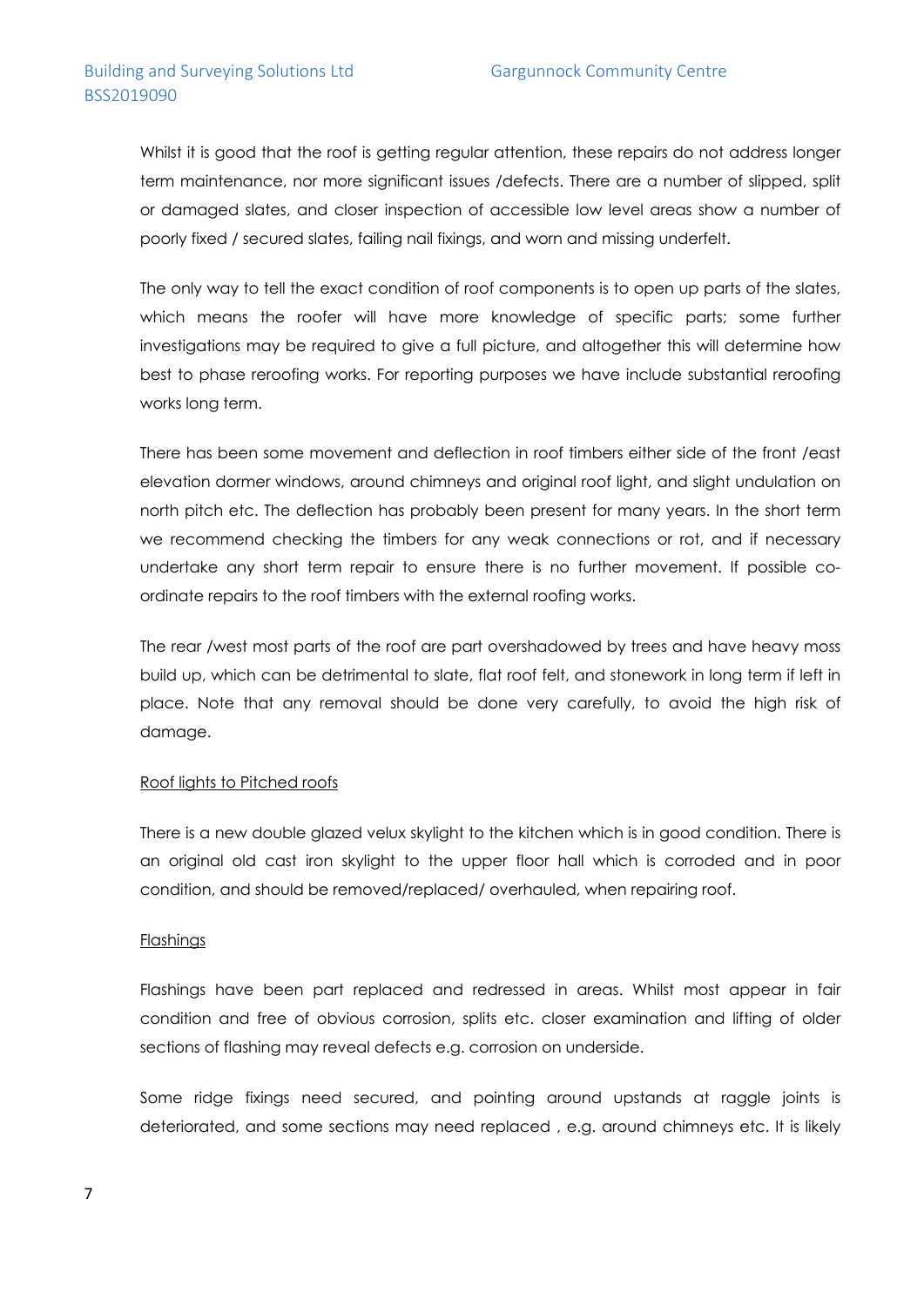Whilst it is good that the roof is getting regular attention, these repairs do not address longer term maintenance, nor more significant issues /defects. There are a number of slipped, split or damaged slates, and closer inspection of accessible low level areas show a number of poorly fixed / secured slates, failing nail fixings, and worn and missing underfelt.

The only way to tell the exact condition of roof components is to open up parts of the slates, which means the roofer will have more knowledge of specific parts; some further investigations may be required to give a full picture, and altogether this will determine how best to phase reroofing works. For reporting purposes we have include substantial reroofing works long term.

There has been some movement and deflection in roof timbers either side of the front /east elevation dormer windows, around chimneys and original roof light, and slight undulation on north pitch etc. The deflection has probably been present for many years. In the short term we recommend checking the timbers for any weak connections or rot, and if necessary undertake any short term repair to ensure there is no further movement. If possible coordinate repairs to the roof timbers with the external roofing works.

The rear /west most parts of the roof are part overshadowed by trees and have heavy moss build up, which can be detrimental to slate, flat roof felt, and stonework in long term if left in place. Note that any removal should be done very carefully, to avoid the high risk of damage.

#### Roof lights to Pitched roofs

There is a new double glazed velux skylight to the kitchen which is in good condition. There is an original old cast iron skylight to the upper floor hall which is corroded and in poor condition, and should be removed/replaced/ overhauled, when repairing roof.

#### Flashings

Flashings have been part replaced and redressed in areas. Whilst most appear in fair condition and free of obvious corrosion, splits etc. closer examination and lifting of older sections of flashing may reveal defects e.g. corrosion on underside.

Some ridge fixings need secured, and pointing around upstands at raggle joints is deteriorated, and some sections may need replaced , e.g. around chimneys etc. It is likely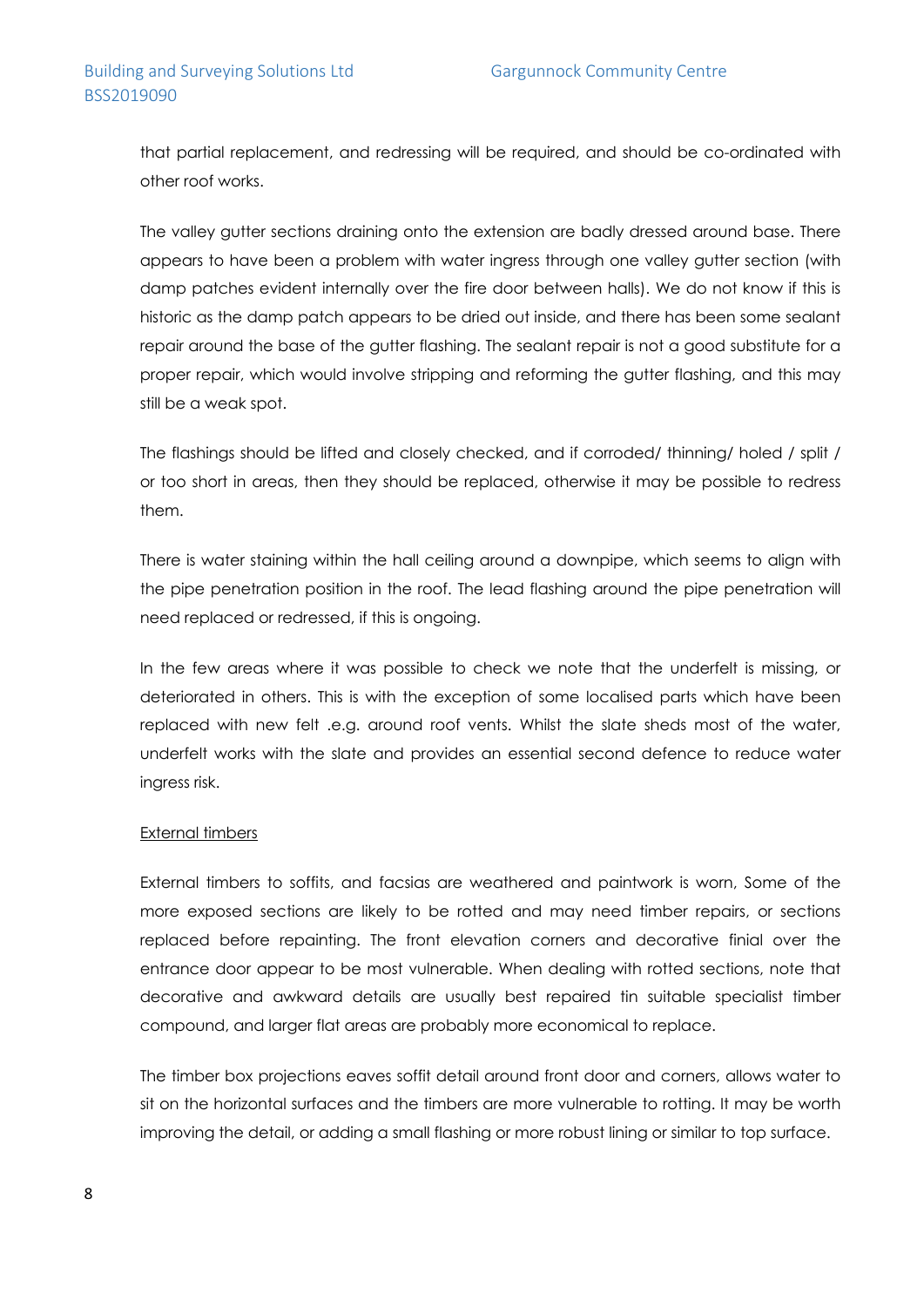that partial replacement, and redressing will be required, and should be co-ordinated with other roof works.

The valley gutter sections draining onto the extension are badly dressed around base. There appears to have been a problem with water ingress through one valley gutter section (with damp patches evident internally over the fire door between halls). We do not know if this is historic as the damp patch appears to be dried out inside, and there has been some sealant repair around the base of the gutter flashing. The sealant repair is not a good substitute for a proper repair, which would involve stripping and reforming the gutter flashing, and this may still be a weak spot.

The flashings should be lifted and closely checked, and if corroded/ thinning/ holed / split / or too short in areas, then they should be replaced, otherwise it may be possible to redress them.

There is water staining within the hall ceiling around a downpipe, which seems to align with the pipe penetration position in the roof. The lead flashing around the pipe penetration will need replaced or redressed, if this is ongoing.

In the few areas where it was possible to check we note that the underfelt is missing, or deteriorated in others. This is with the exception of some localised parts which have been replaced with new felt .e.g. around roof vents. Whilst the slate sheds most of the water, underfelt works with the slate and provides an essential second defence to reduce water ingress risk.

#### External timbers

External timbers to soffits, and facsias are weathered and paintwork is worn, Some of the more exposed sections are likely to be rotted and may need timber repairs, or sections replaced before repainting. The front elevation corners and decorative finial over the entrance door appear to be most vulnerable. When dealing with rotted sections, note that decorative and awkward details are usually best repaired tin suitable specialist timber compound, and larger flat areas are probably more economical to replace.

The timber box projections eaves soffit detail around front door and corners, allows water to sit on the horizontal surfaces and the timbers are more vulnerable to rotting. It may be worth improving the detail, or adding a small flashing or more robust lining or similar to top surface.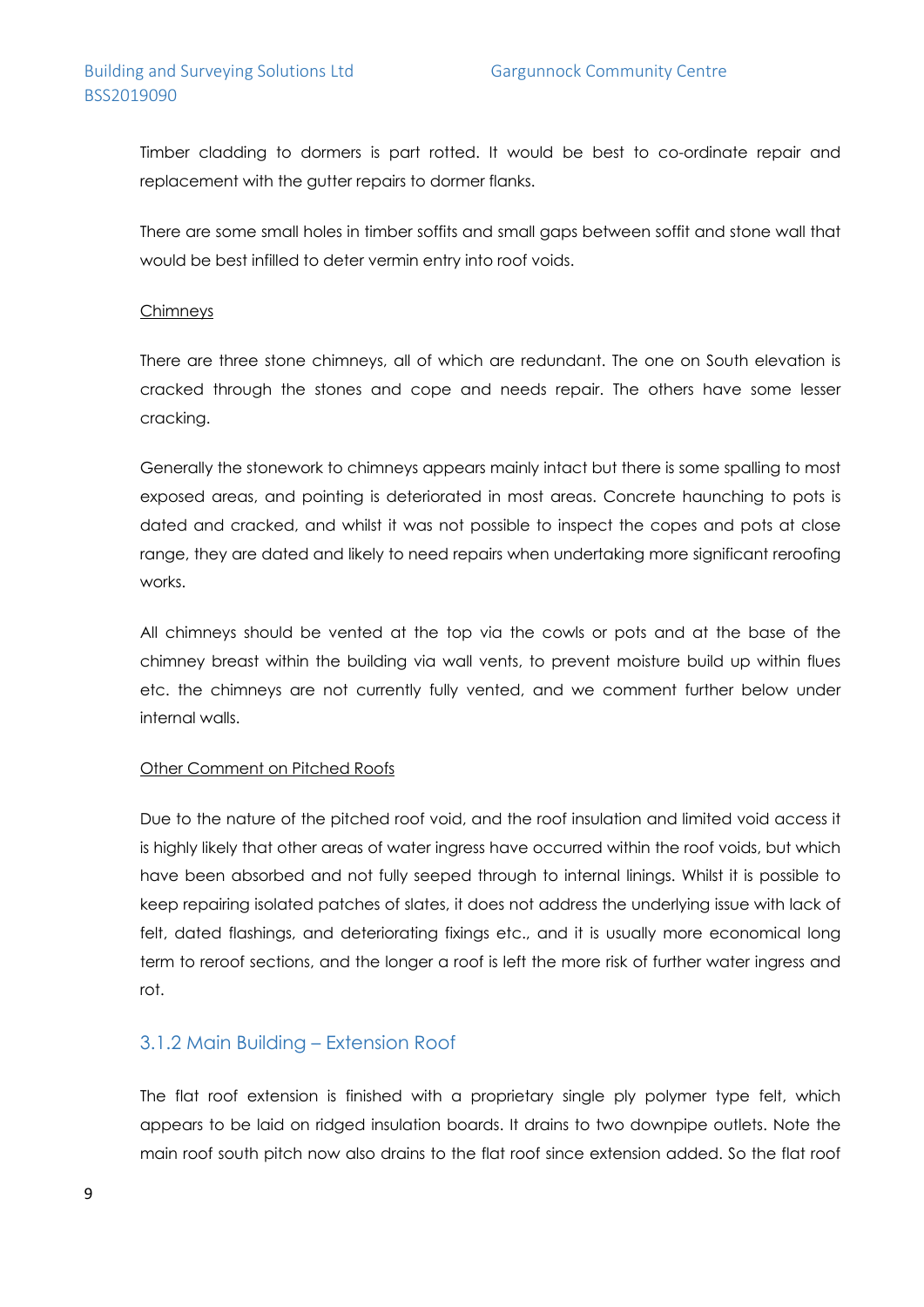### Building and Surveying Solutions Ltd Gargunnock Community Centre BSS2019090

Timber cladding to dormers is part rotted. It would be best to co-ordinate repair and replacement with the gutter repairs to dormer flanks.

There are some small holes in timber soffits and small gaps between soffit and stone wall that would be best infilled to deter vermin entry into roof voids.

#### **Chimneys**

There are three stone chimneys, all of which are redundant. The one on South elevation is cracked through the stones and cope and needs repair. The others have some lesser cracking.

Generally the stonework to chimneys appears mainly intact but there is some spalling to most exposed areas, and pointing is deteriorated in most areas. Concrete haunching to pots is dated and cracked, and whilst it was not possible to inspect the copes and pots at close range, they are dated and likely to need repairs when undertaking more significant reroofing works.

All chimneys should be vented at the top via the cowls or pots and at the base of the chimney breast within the building via wall vents, to prevent moisture build up within flues etc. the chimneys are not currently fully vented, and we comment further below under internal walls.

#### Other Comment on Pitched Roofs

Due to the nature of the pitched roof void, and the roof insulation and limited void access it is highly likely that other areas of water ingress have occurred within the roof voids, but which have been absorbed and not fully seeped through to internal linings. Whilst it is possible to keep repairing isolated patches of slates, it does not address the underlying issue with lack of felt, dated flashings, and deteriorating fixings etc., and it is usually more economical long term to reroof sections, and the longer a roof is left the more risk of further water ingress and rot.

### 3.1.2 Main Building – Extension Roof

The flat roof extension is finished with a proprietary single ply polymer type felt, which appears to be laid on ridged insulation boards. It drains to two downpipe outlets. Note the main roof south pitch now also drains to the flat roof since extension added. So the flat roof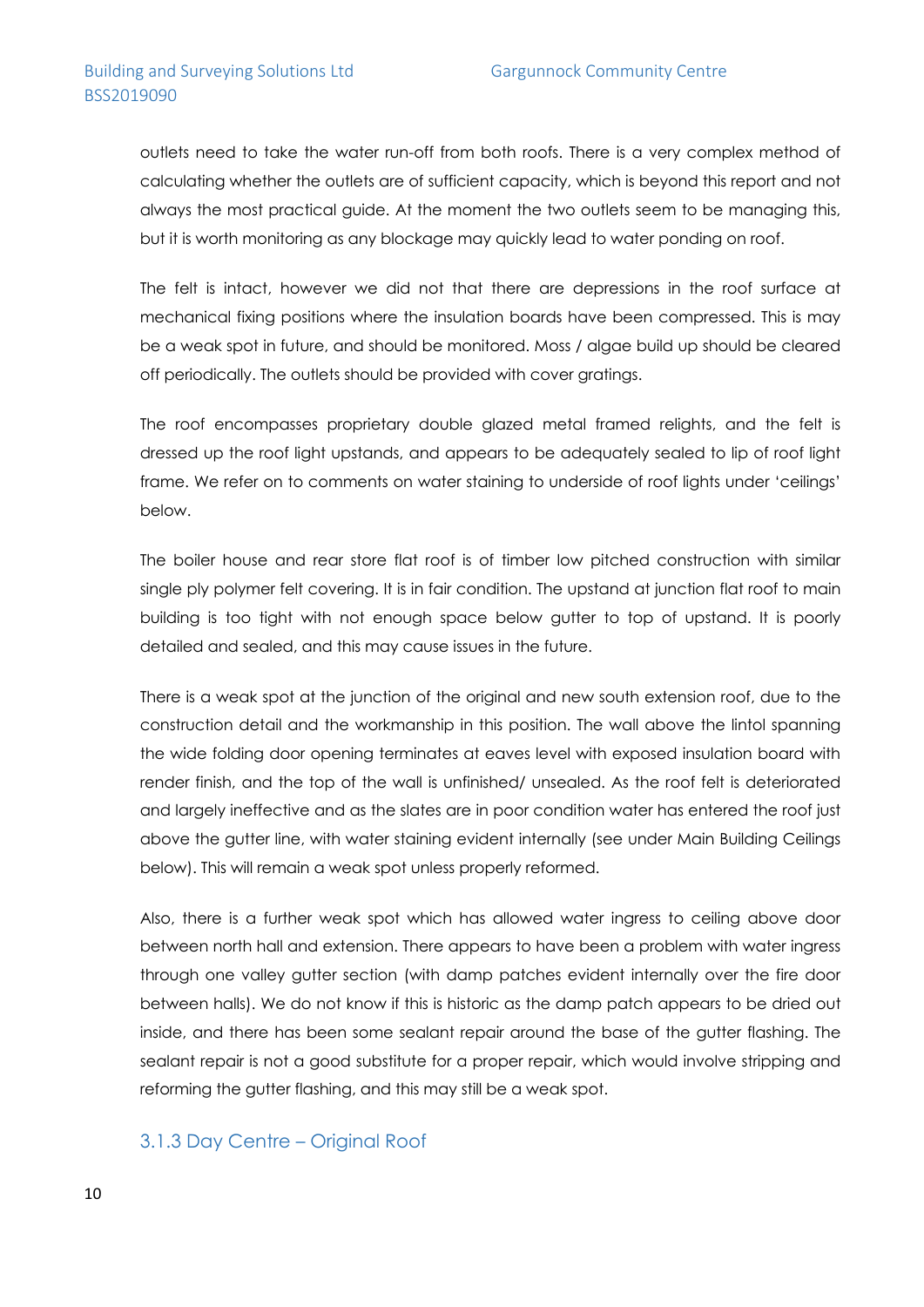outlets need to take the water run-off from both roofs. There is a very complex method of calculating whether the outlets are of sufficient capacity, which is beyond this report and not always the most practical guide. At the moment the two outlets seem to be managing this, but it is worth monitoring as any blockage may quickly lead to water ponding on roof.

The felt is intact, however we did not that there are depressions in the roof surface at mechanical fixing positions where the insulation boards have been compressed. This is may be a weak spot in future, and should be monitored. Moss / algae build up should be cleared off periodically. The outlets should be provided with cover gratings.

The roof encompasses proprietary double glazed metal framed relights, and the felt is dressed up the roof light upstands, and appears to be adequately sealed to lip of roof light frame. We refer on to comments on water staining to underside of roof lights under 'ceilings' below.

The boiler house and rear store flat roof is of timber low pitched construction with similar single ply polymer felt covering. It is in fair condition. The upstand at junction flat roof to main building is too tight with not enough space below gutter to top of upstand. It is poorly detailed and sealed, and this may cause issues in the future.

There is a weak spot at the junction of the original and new south extension roof, due to the construction detail and the workmanship in this position. The wall above the lintol spanning the wide folding door opening terminates at eaves level with exposed insulation board with render finish, and the top of the wall is unfinished/ unsealed. As the roof felt is deteriorated and largely ineffective and as the slates are in poor condition water has entered the roof just above the gutter line, with water staining evident internally (see under Main Building Ceilings below). This will remain a weak spot unless properly reformed.

Also, there is a further weak spot which has allowed water ingress to ceiling above door between north hall and extension. There appears to have been a problem with water ingress through one valley gutter section (with damp patches evident internally over the fire door between halls). We do not know if this is historic as the damp patch appears to be dried out inside, and there has been some sealant repair around the base of the gutter flashing. The sealant repair is not a good substitute for a proper repair, which would involve stripping and reforming the gutter flashing, and this may still be a weak spot.

### 3.1.3 Day Centre – Original Roof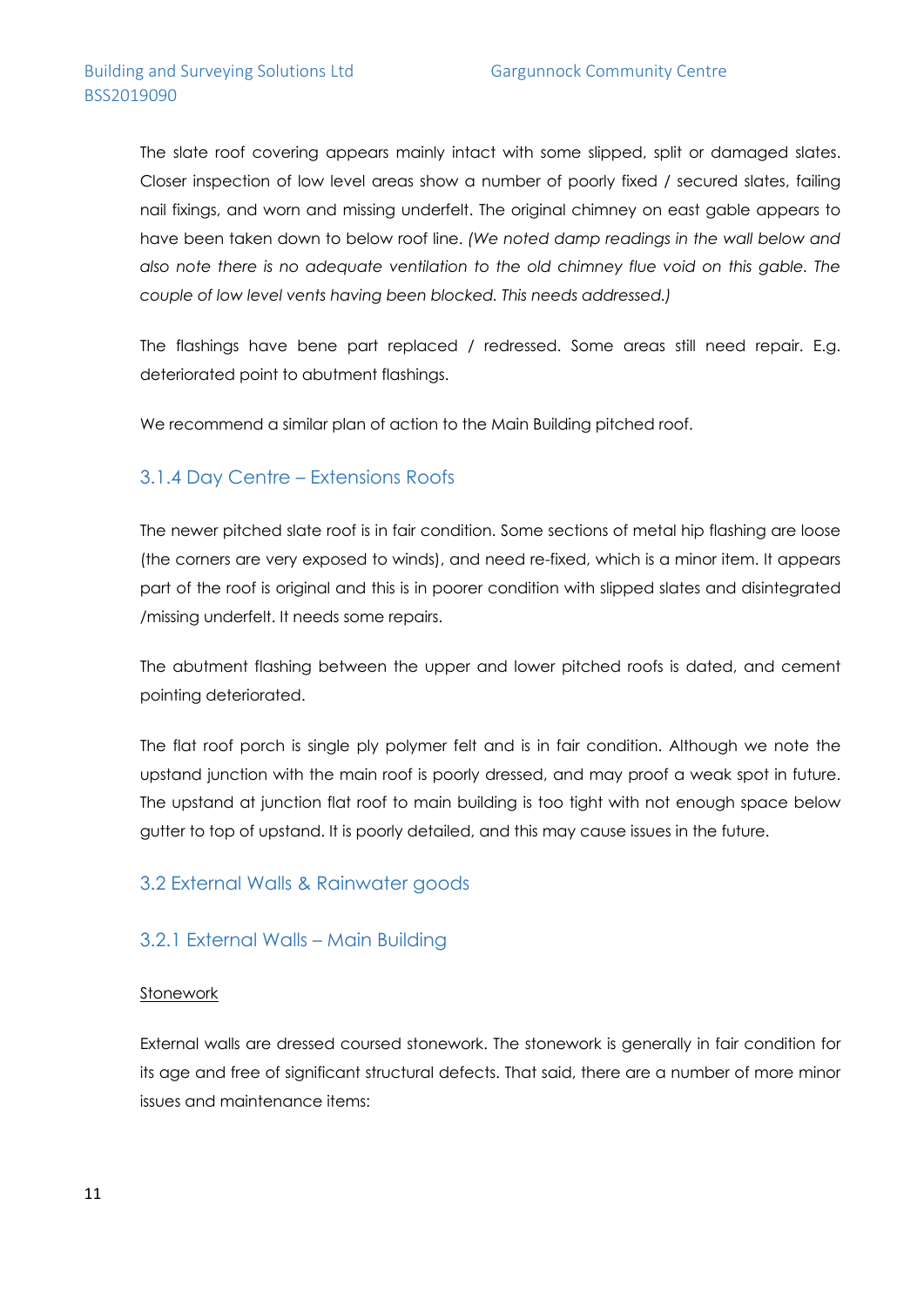The slate roof covering appears mainly intact with some slipped, split or damaged slates. Closer inspection of low level areas show a number of poorly fixed / secured slates, failing nail fixings, and worn and missing underfelt. The original chimney on east gable appears to have been taken down to below roof line. *(We noted damp readings in the wall below and also note there is no adequate ventilation to the old chimney flue void on this gable. The couple of low level vents having been blocked. This needs addressed.)*

The flashings have bene part replaced / redressed. Some areas still need repair. E.g. deteriorated point to abutment flashings.

We recommend a similar plan of action to the Main Building pitched roof.

### 3.1.4 Day Centre – Extensions Roofs

The newer pitched slate roof is in fair condition. Some sections of metal hip flashing are loose (the corners are very exposed to winds), and need re-fixed, which is a minor item. It appears part of the roof is original and this is in poorer condition with slipped slates and disintegrated /missing underfelt. It needs some repairs.

The abutment flashing between the upper and lower pitched roofs is dated, and cement pointing deteriorated.

The flat roof porch is single ply polymer felt and is in fair condition. Although we note the upstand junction with the main roof is poorly dressed, and may proof a weak spot in future. The upstand at junction flat roof to main building is too tight with not enough space below gutter to top of upstand. It is poorly detailed, and this may cause issues in the future.

### 3.2 External Walls & Rainwater goods

### 3.2.1 External Walls – Main Building

#### Stonework

External walls are dressed coursed stonework. The stonework is generally in fair condition for its age and free of significant structural defects. That said, there are a number of more minor issues and maintenance items: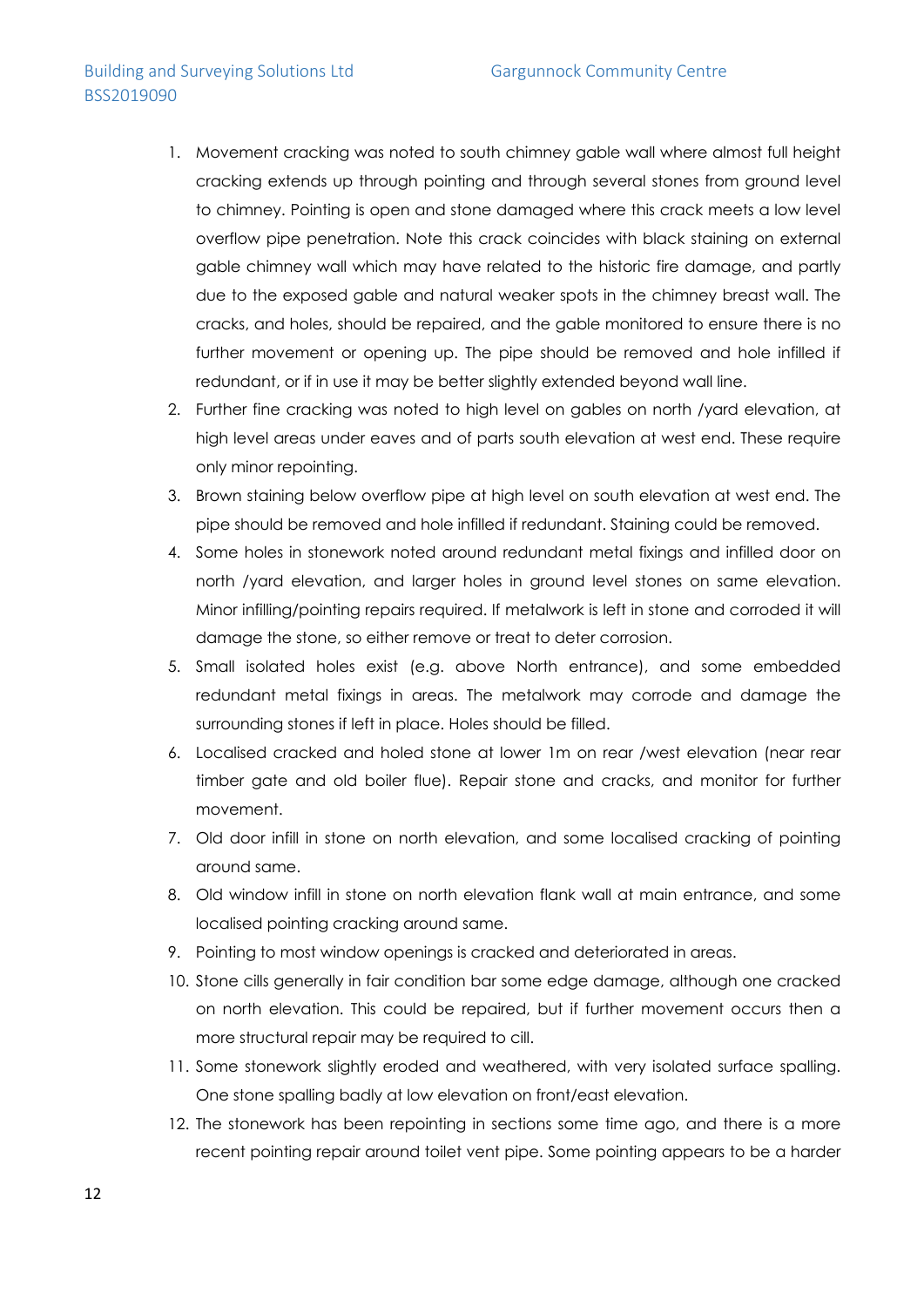### Building and Surveying Solutions Ltd Gargunnock Community Centre BSS2019090

- 1. Movement cracking was noted to south chimney gable wall where almost full height cracking extends up through pointing and through several stones from ground level to chimney. Pointing is open and stone damaged where this crack meets a low level overflow pipe penetration. Note this crack coincides with black staining on external gable chimney wall which may have related to the historic fire damage, and partly due to the exposed gable and natural weaker spots in the chimney breast wall. The cracks, and holes, should be repaired, and the gable monitored to ensure there is no further movement or opening up. The pipe should be removed and hole infilled if redundant, or if in use it may be better slightly extended beyond wall line.
- 2. Further fine cracking was noted to high level on gables on north /yard elevation, at high level areas under eaves and of parts south elevation at west end. These require only minor repointing.
- 3. Brown staining below overflow pipe at high level on south elevation at west end. The pipe should be removed and hole infilled if redundant. Staining could be removed.
- 4. Some holes in stonework noted around redundant metal fixings and infilled door on north /yard elevation, and larger holes in ground level stones on same elevation. Minor infilling/pointing repairs required. If metalwork is left in stone and corroded it will damage the stone, so either remove or treat to deter corrosion.
- 5. Small isolated holes exist (e.g. above North entrance), and some embedded redundant metal fixings in areas. The metalwork may corrode and damage the surrounding stones if left in place. Holes should be filled.
- 6. Localised cracked and holed stone at lower 1m on rear /west elevation (near rear timber gate and old boiler flue). Repair stone and cracks, and monitor for further movement.
- 7. Old door infill in stone on north elevation, and some localised cracking of pointing around same.
- 8. Old window infill in stone on north elevation flank wall at main entrance, and some localised pointing cracking around same.
- 9. Pointing to most window openings is cracked and deteriorated in areas.
- 10. Stone cills generally in fair condition bar some edge damage, although one cracked on north elevation. This could be repaired, but if further movement occurs then a more structural repair may be required to cill.
- 11. Some stonework slightly eroded and weathered, with very isolated surface spalling. One stone spalling badly at low elevation on front/east elevation.
- 12. The stonework has been repointing in sections some time ago, and there is a more recent pointing repair around toilet vent pipe. Some pointing appears to be a harder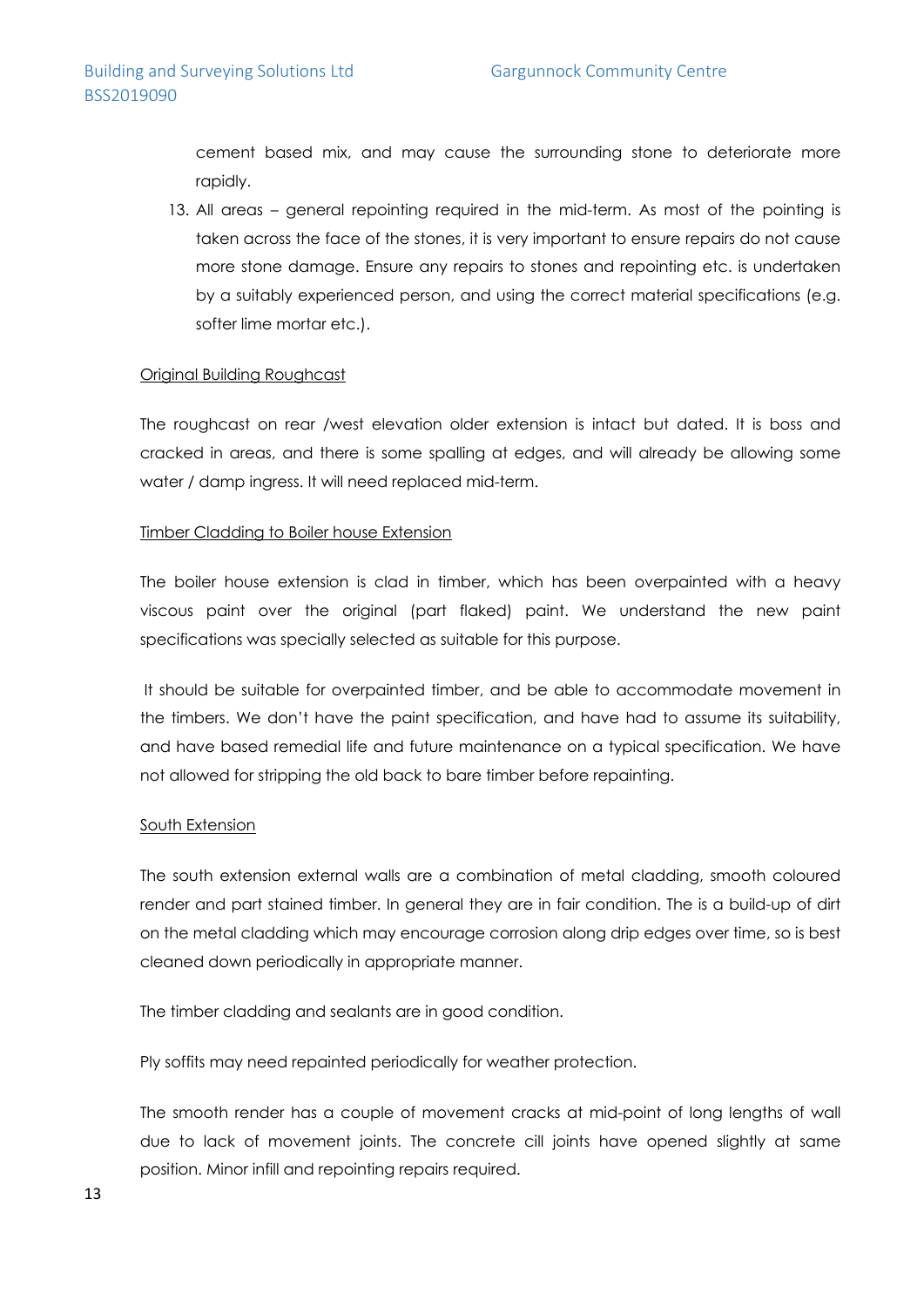cement based mix, and may cause the surrounding stone to deteriorate more rapidly.

13. All areas – general repointing required in the mid-term. As most of the pointing is taken across the face of the stones, it is very important to ensure repairs do not cause more stone damage. Ensure any repairs to stones and repointing etc. is undertaken by a suitably experienced person, and using the correct material specifications (e.g. softer lime mortar etc.).

#### Original Building Roughcast

The roughcast on rear /west elevation older extension is intact but dated. It is boss and cracked in areas, and there is some spalling at edges, and will already be allowing some water / damp ingress. It will need replaced mid-term.

#### Timber Cladding to Boiler house Extension

The boiler house extension is clad in timber, which has been overpainted with a heavy viscous paint over the original (part flaked) paint. We understand the new paint specifications was specially selected as suitable for this purpose.

It should be suitable for overpainted timber, and be able to accommodate movement in the timbers. We don't have the paint specification, and have had to assume its suitability, and have based remedial life and future maintenance on a typical specification. We have not allowed for stripping the old back to bare timber before repainting.

#### South Extension

The south extension external walls are a combination of metal cladding, smooth coloured render and part stained timber. In general they are in fair condition. The is a build-up of dirt on the metal cladding which may encourage corrosion along drip edges over time, so is best cleaned down periodically in appropriate manner.

The timber cladding and sealants are in good condition.

Ply soffits may need repainted periodically for weather protection.

The smooth render has a couple of movement cracks at mid-point of long lengths of wall due to lack of movement joints. The concrete cill joints have opened slightly at same position. Minor infill and repointing repairs required.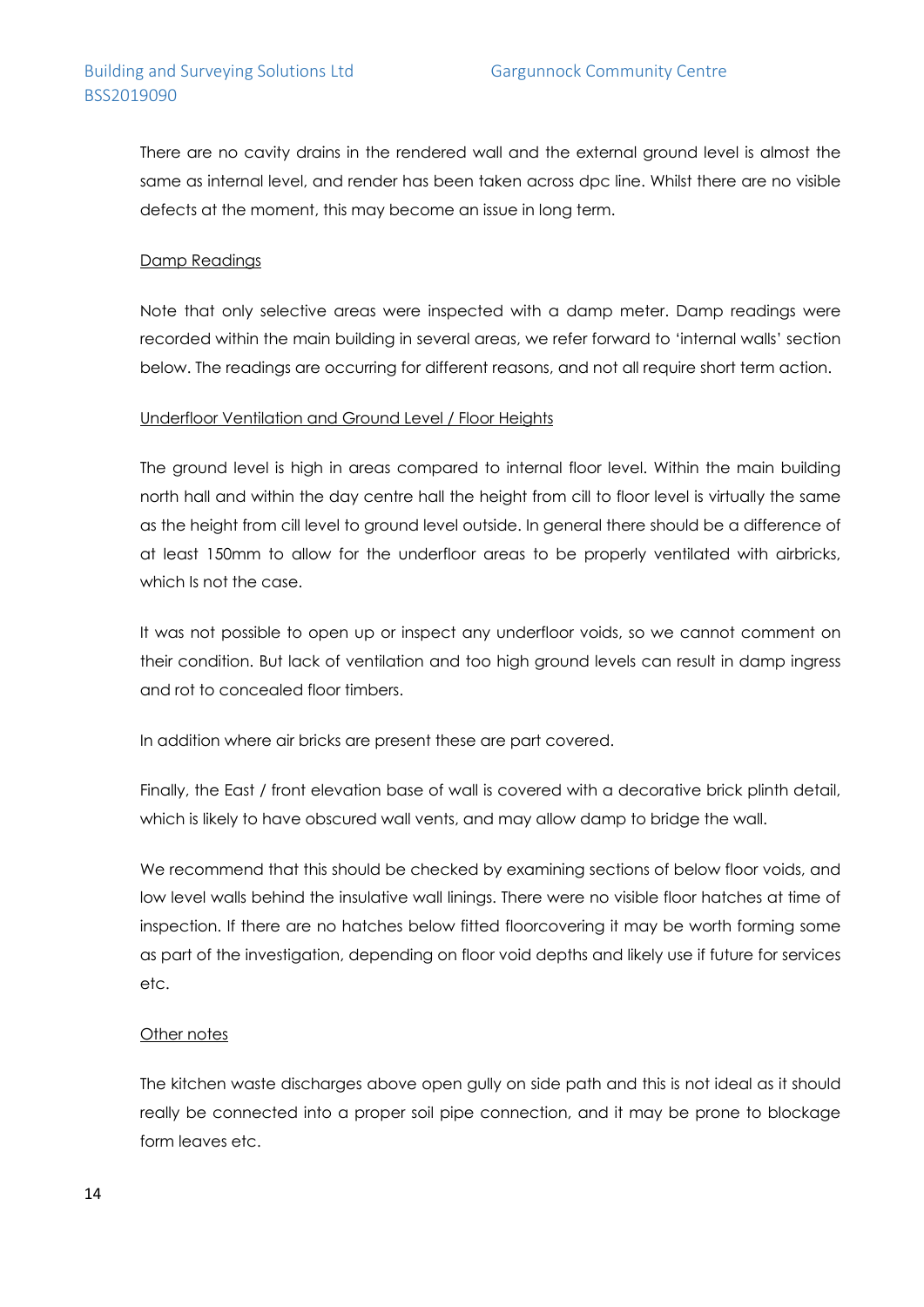There are no cavity drains in the rendered wall and the external ground level is almost the same as internal level, and render has been taken across dpc line. Whilst there are no visible defects at the moment, this may become an issue in long term.

#### Damp Readings

Note that only selective areas were inspected with a damp meter. Damp readings were recorded within the main building in several areas, we refer forward to 'internal walls' section below. The readings are occurring for different reasons, and not all require short term action.

#### Underfloor Ventilation and Ground Level / Floor Heights

The ground level is high in areas compared to internal floor level. Within the main building north hall and within the day centre hall the height from cill to floor level is virtually the same as the height from cill level to ground level outside. In general there should be a difference of at least 150mm to allow for the underfloor areas to be properly ventilated with airbricks, which Is not the case.

It was not possible to open up or inspect any underfloor voids, so we cannot comment on their condition. But lack of ventilation and too high ground levels can result in damp ingress and rot to concealed floor timbers.

In addition where air bricks are present these are part covered.

Finally, the East / front elevation base of wall is covered with a decorative brick plinth detail, which is likely to have obscured wall vents, and may allow damp to bridge the wall.

We recommend that this should be checked by examining sections of below floor voids, and low level walls behind the insulative wall linings. There were no visible floor hatches at time of inspection. If there are no hatches below fitted floorcovering it may be worth forming some as part of the investigation, depending on floor void depths and likely use if future for services etc.

#### Other notes

The kitchen waste discharges above open gully on side path and this is not ideal as it should really be connected into a proper soil pipe connection, and it may be prone to blockage form leaves etc.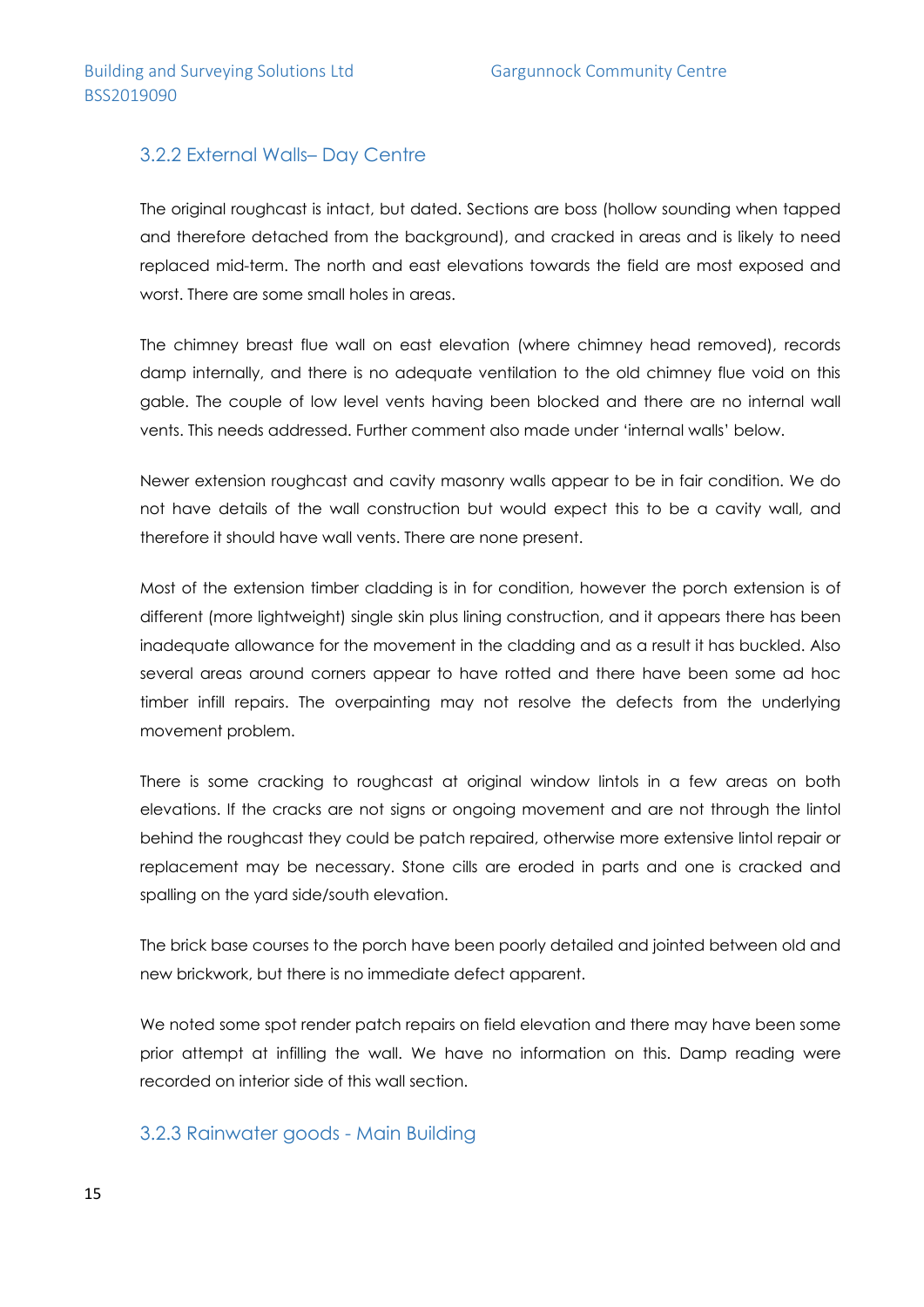### 3.2.2 External Walls– Day Centre

The original roughcast is intact, but dated. Sections are boss (hollow sounding when tapped and therefore detached from the background), and cracked in areas and is likely to need replaced mid-term. The north and east elevations towards the field are most exposed and worst. There are some small holes in areas.

The chimney breast flue wall on east elevation (where chimney head removed), records damp internally, and there is no adequate ventilation to the old chimney flue void on this gable. The couple of low level vents having been blocked and there are no internal wall vents. This needs addressed. Further comment also made under 'internal walls' below.

Newer extension roughcast and cavity masonry walls appear to be in fair condition. We do not have details of the wall construction but would expect this to be a cavity wall, and therefore it should have wall vents. There are none present.

Most of the extension timber cladding is in for condition, however the porch extension is of different (more lightweight) single skin plus lining construction, and it appears there has been inadequate allowance for the movement in the cladding and as a result it has buckled. Also several areas around corners appear to have rotted and there have been some ad hoc timber infill repairs. The overpainting may not resolve the defects from the underlying movement problem.

There is some cracking to roughcast at original window lintols in a few areas on both elevations. If the cracks are not signs or ongoing movement and are not through the lintol behind the roughcast they could be patch repaired, otherwise more extensive lintol repair or replacement may be necessary. Stone cills are eroded in parts and one is cracked and spalling on the yard side/south elevation.

The brick base courses to the porch have been poorly detailed and jointed between old and new brickwork, but there is no immediate defect apparent.

We noted some spot render patch repairs on field elevation and there may have been some prior attempt at infilling the wall. We have no information on this. Damp reading were recorded on interior side of this wall section.

### 3.2.3 Rainwater goods - Main Building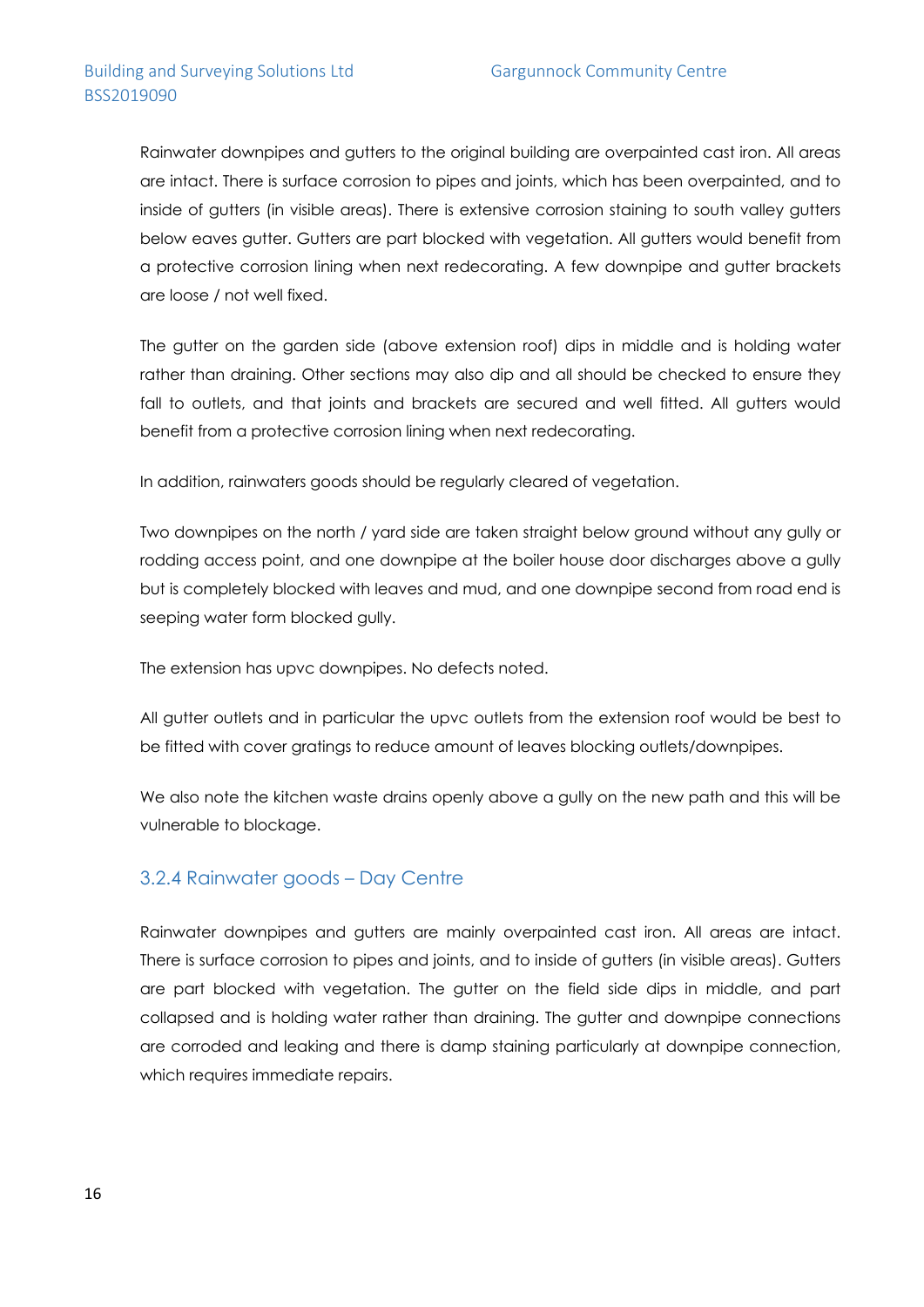Rainwater downpipes and gutters to the original building are overpainted cast iron. All areas are intact. There is surface corrosion to pipes and joints, which has been overpainted, and to inside of gutters (in visible areas). There is extensive corrosion staining to south valley gutters below eaves gutter. Gutters are part blocked with vegetation. All gutters would benefit from a protective corrosion lining when next redecorating. A few downpipe and gutter brackets are loose / not well fixed.

The gutter on the garden side (above extension roof) dips in middle and is holding water rather than draining. Other sections may also dip and all should be checked to ensure they fall to outlets, and that joints and brackets are secured and well fitted. All gutters would benefit from a protective corrosion lining when next redecorating.

In addition, rainwaters goods should be regularly cleared of vegetation.

Two downpipes on the north / yard side are taken straight below ground without any gully or rodding access point, and one downpipe at the boiler house door discharges above a gully but is completely blocked with leaves and mud, and one downpipe second from road end is seeping water form blocked gully.

The extension has upvc downpipes. No defects noted.

All gutter outlets and in particular the upvc outlets from the extension roof would be best to be fitted with cover gratings to reduce amount of leaves blocking outlets/downpipes.

We also note the kitchen waste drains openly above a gully on the new path and this will be vulnerable to blockage.

### 3.2.4 Rainwater goods – Day Centre

Rainwater downpipes and gutters are mainly overpainted cast iron. All areas are intact. There is surface corrosion to pipes and joints, and to inside of gutters (in visible areas). Gutters are part blocked with vegetation. The gutter on the field side dips in middle, and part collapsed and is holding water rather than draining. The gutter and downpipe connections are corroded and leaking and there is damp staining particularly at downpipe connection, which requires immediate repairs.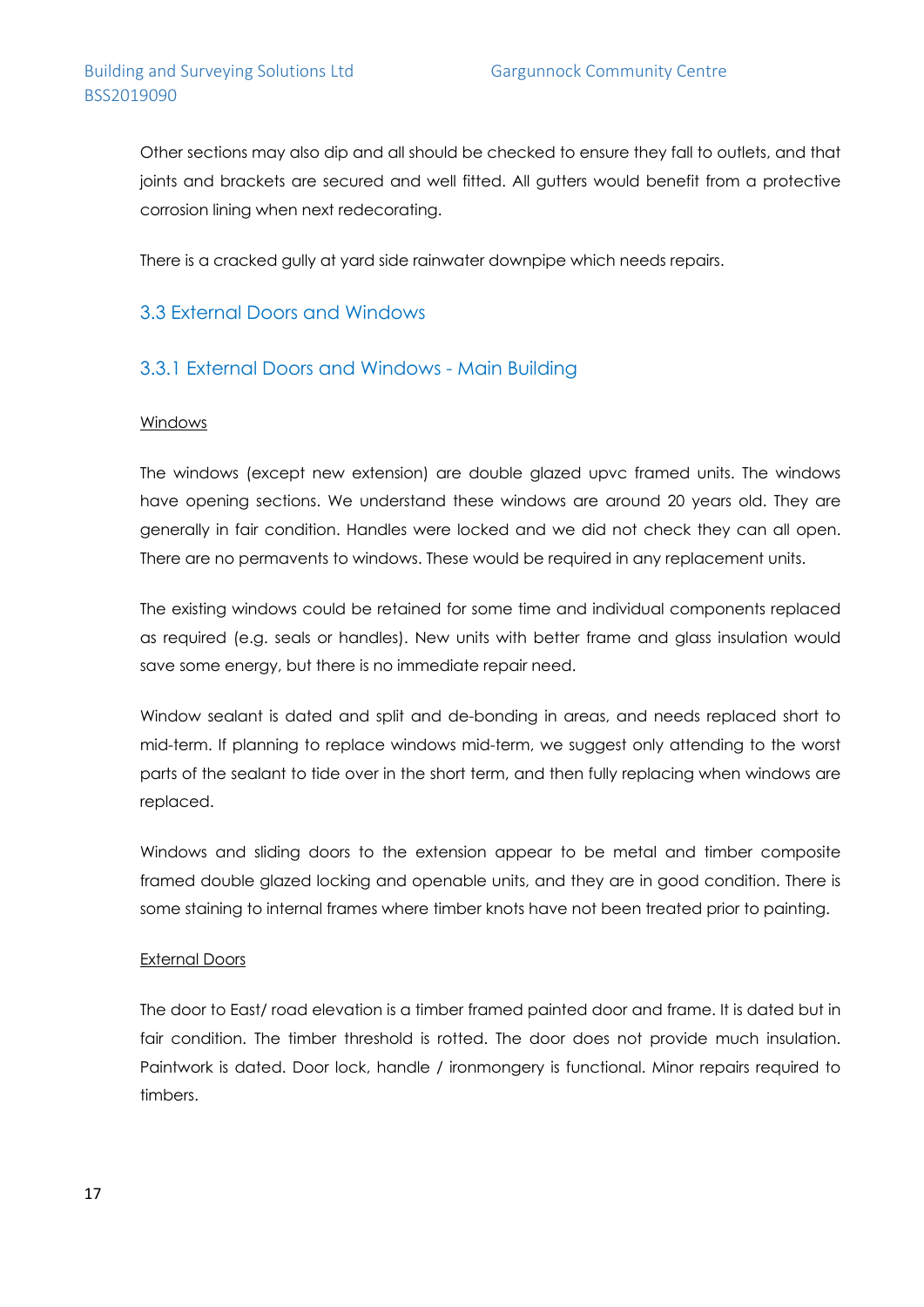Other sections may also dip and all should be checked to ensure they fall to outlets, and that joints and brackets are secured and well fitted. All gutters would benefit from a protective corrosion lining when next redecorating.

There is a cracked gully at yard side rainwater downpipe which needs repairs.

### 3.3 External Doors and Windows

### 3.3.1 External Doors and Windows - Main Building

#### Windows

The windows (except new extension) are double glazed upvc framed units. The windows have opening sections. We understand these windows are around 20 years old. They are generally in fair condition. Handles were locked and we did not check they can all open. There are no permavents to windows. These would be required in any replacement units.

The existing windows could be retained for some time and individual components replaced as required (e.g. seals or handles). New units with better frame and glass insulation would save some energy, but there is no immediate repair need.

Window sealant is dated and split and de-bonding in areas, and needs replaced short to mid-term. If planning to replace windows mid-term, we suggest only attending to the worst parts of the sealant to tide over in the short term, and then fully replacing when windows are replaced.

Windows and sliding doors to the extension appear to be metal and timber composite framed double glazed locking and openable units, and they are in good condition. There is some staining to internal frames where timber knots have not been treated prior to painting.

#### External Doors

The door to East/ road elevation is a timber framed painted door and frame. It is dated but in fair condition. The timber threshold is rotted. The door does not provide much insulation. Paintwork is dated. Door lock, handle / ironmongery is functional. Minor repairs required to timbers.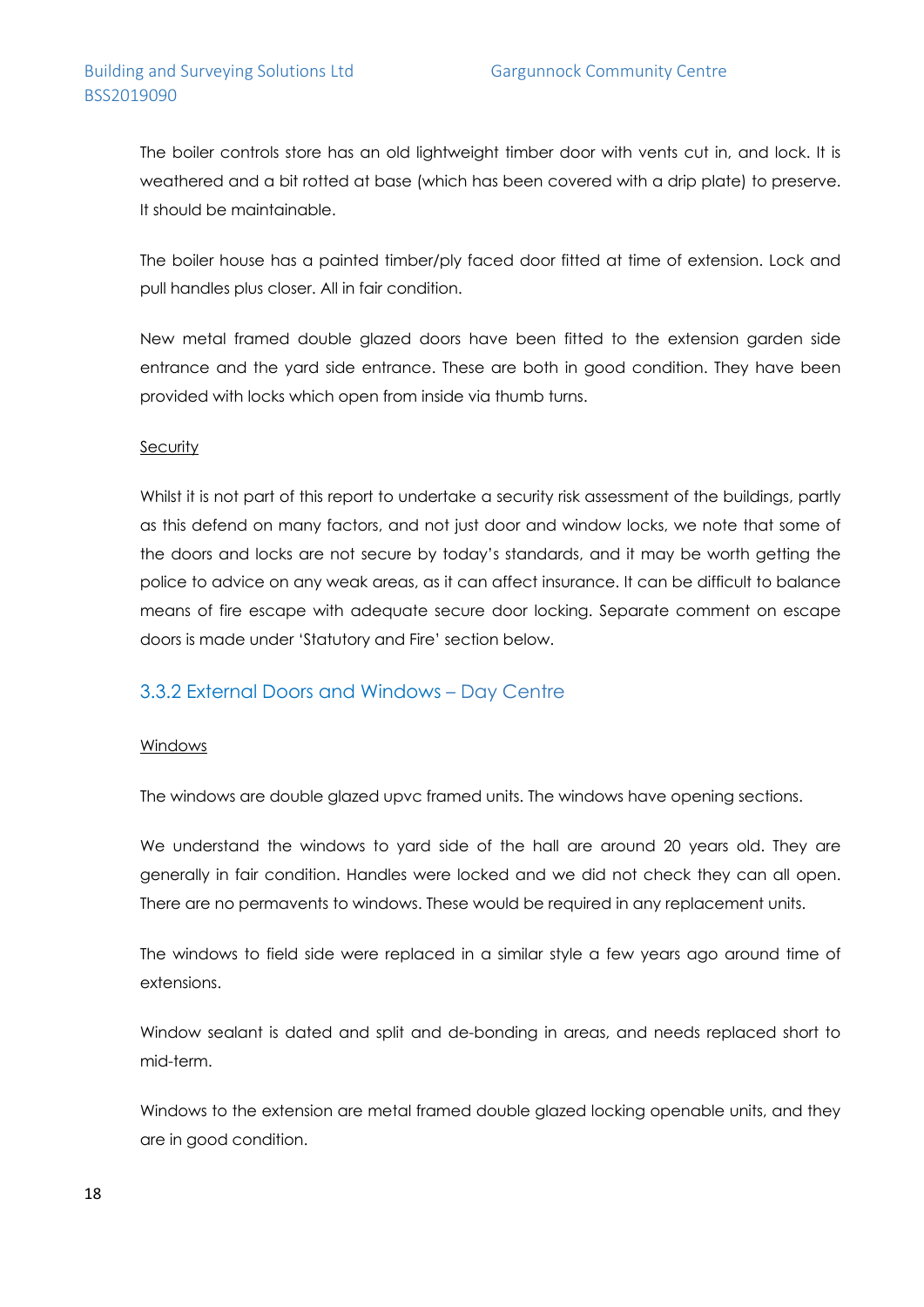The boiler controls store has an old lightweight timber door with vents cut in, and lock. It is weathered and a bit rotted at base (which has been covered with a drip plate) to preserve. It should be maintainable.

The boiler house has a painted timber/ply faced door fitted at time of extension. Lock and pull handles plus closer. All in fair condition.

New metal framed double glazed doors have been fitted to the extension garden side entrance and the yard side entrance. These are both in good condition. They have been provided with locks which open from inside via thumb turns.

#### **Security**

Whilst it is not part of this report to undertake a security risk assessment of the buildings, partly as this defend on many factors, and not just door and window locks, we note that some of the doors and locks are not secure by today's standards, and it may be worth getting the police to advice on any weak areas, as it can affect insurance. It can be difficult to balance means of fire escape with adequate secure door locking. Separate comment on escape doors is made under 'Statutory and Fire' section below.

### 3.3.2 External Doors and Windows – Day Centre

#### Windows

The windows are double glazed upvc framed units. The windows have opening sections.

We understand the windows to yard side of the hall are around 20 years old. They are generally in fair condition. Handles were locked and we did not check they can all open. There are no permavents to windows. These would be required in any replacement units.

The windows to field side were replaced in a similar style a few years ago around time of extensions.

Window sealant is dated and split and de-bonding in areas, and needs replaced short to mid-term.

Windows to the extension are metal framed double glazed locking openable units, and they are in good condition.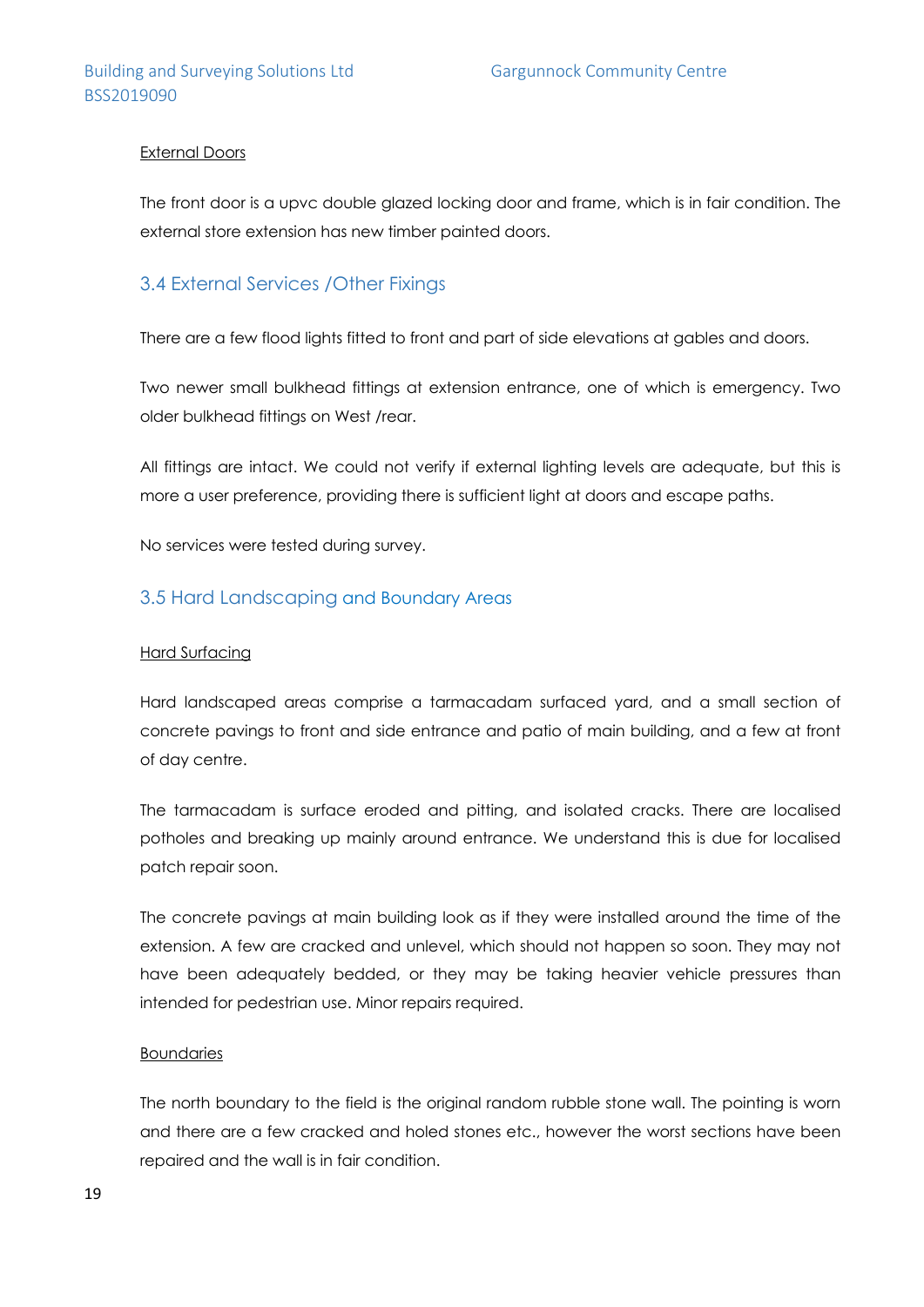#### External Doors

The front door is a upvc double glazed locking door and frame, which is in fair condition. The external store extension has new timber painted doors.

### 3.4 External Services /Other Fixings

There are a few flood lights fitted to front and part of side elevations at gables and doors.

Two newer small bulkhead fittings at extension entrance, one of which is emergency. Two older bulkhead fittings on West /rear.

All fittings are intact. We could not verify if external lighting levels are adequate, but this is more a user preference, providing there is sufficient light at doors and escape paths.

No services were tested during survey.

### 3.5 Hard Landscaping and Boundary Areas

#### Hard Surfacing

Hard landscaped areas comprise a tarmacadam surfaced yard, and a small section of concrete pavings to front and side entrance and patio of main building, and a few at front of day centre.

The tarmacadam is surface eroded and pitting, and isolated cracks. There are localised potholes and breaking up mainly around entrance. We understand this is due for localised patch repair soon.

The concrete pavings at main building look as if they were installed around the time of the extension. A few are cracked and unlevel, which should not happen so soon. They may not have been adequately bedded, or they may be taking heavier vehicle pressures than intended for pedestrian use. Minor repairs required.

#### Boundaries

The north boundary to the field is the original random rubble stone wall. The pointing is worn and there are a few cracked and holed stones etc., however the worst sections have been repaired and the wall is in fair condition.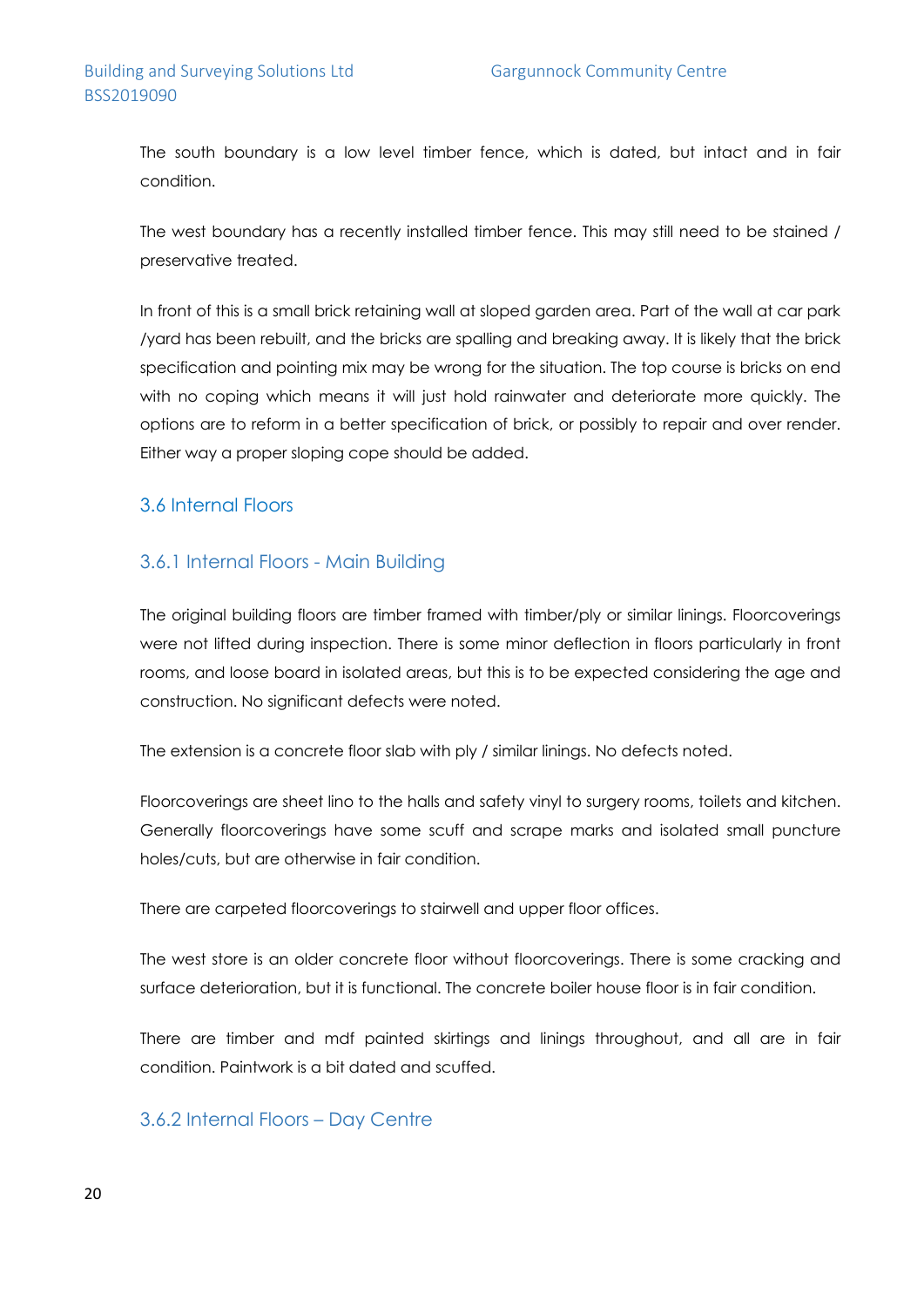The south boundary is a low level timber fence, which is dated, but intact and in fair condition.

The west boundary has a recently installed timber fence. This may still need to be stained / preservative treated.

In front of this is a small brick retaining wall at sloped garden area. Part of the wall at car park /yard has been rebuilt, and the bricks are spalling and breaking away. It is likely that the brick specification and pointing mix may be wrong for the situation. The top course is bricks on end with no coping which means it will just hold rainwater and deteriorate more quickly. The options are to reform in a better specification of brick, or possibly to repair and over render. Either way a proper sloping cope should be added.

### 3.6 Internal Floors

### 3.6.1 Internal Floors - Main Building

The original building floors are timber framed with timber/ply or similar linings. Floorcoverings were not lifted during inspection. There is some minor deflection in floors particularly in front rooms, and loose board in isolated areas, but this is to be expected considering the age and construction. No significant defects were noted.

The extension is a concrete floor slab with ply / similar linings. No defects noted.

Floorcoverings are sheet lino to the halls and safety vinyl to surgery rooms, toilets and kitchen. Generally floorcoverings have some scuff and scrape marks and isolated small puncture holes/cuts, but are otherwise in fair condition.

There are carpeted floorcoverings to stairwell and upper floor offices.

The west store is an older concrete floor without floorcoverings. There is some cracking and surface deterioration, but it is functional. The concrete boiler house floor is in fair condition.

There are timber and mdf painted skirtings and linings throughout, and all are in fair condition. Paintwork is a bit dated and scuffed.

### 3.6.2 Internal Floors – Day Centre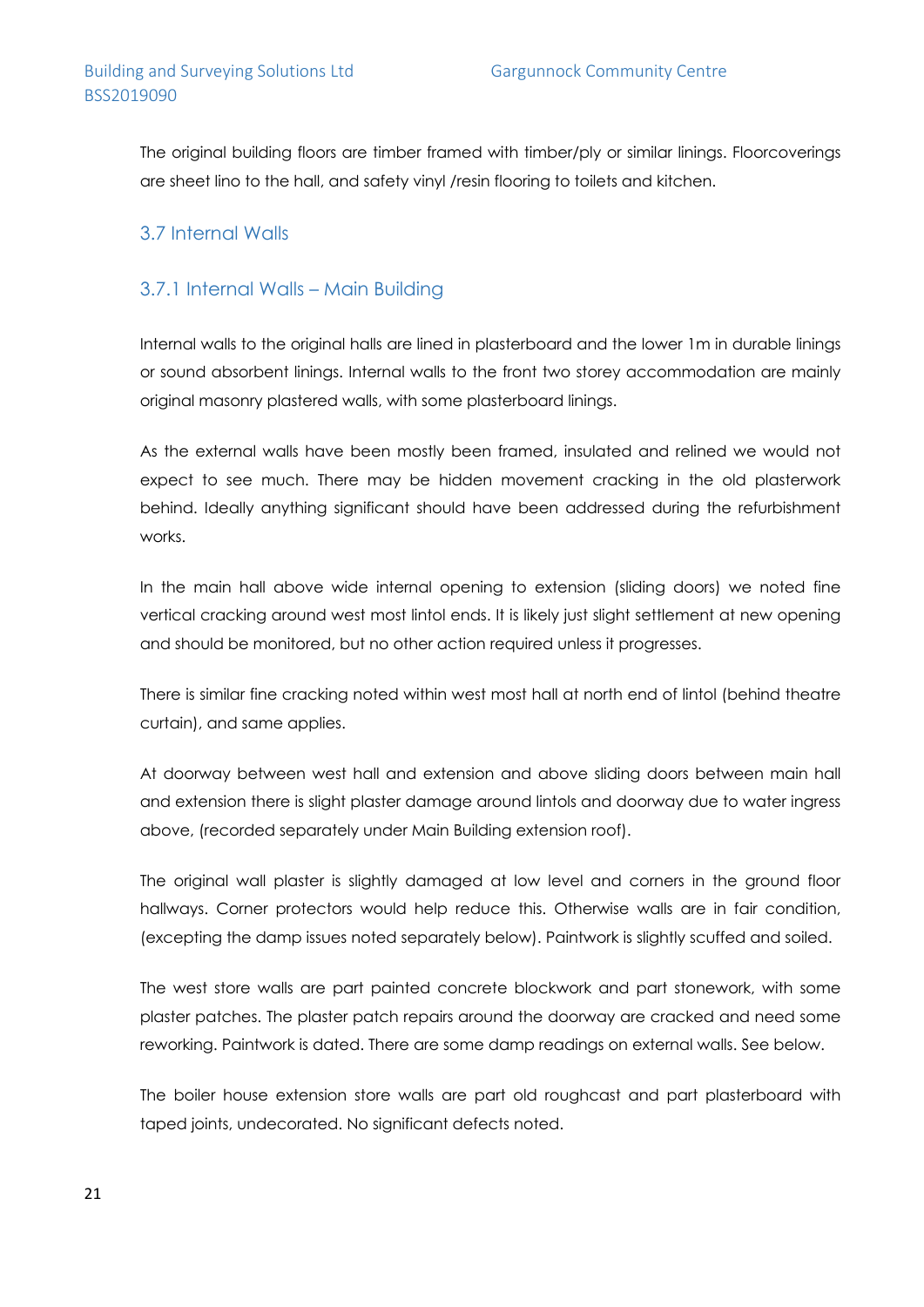The original building floors are timber framed with timber/ply or similar linings. Floorcoverings are sheet lino to the hall, and safety vinyl /resin flooring to toilets and kitchen.

### 3.7 Internal Walls

### 3.7.1 Internal Walls – Main Building

Internal walls to the original halls are lined in plasterboard and the lower 1m in durable linings or sound absorbent linings. Internal walls to the front two storey accommodation are mainly original masonry plastered walls, with some plasterboard linings.

As the external walls have been mostly been framed, insulated and relined we would not expect to see much. There may be hidden movement cracking in the old plasterwork behind. Ideally anything significant should have been addressed during the refurbishment works.

In the main hall above wide internal opening to extension (sliding doors) we noted fine vertical cracking around west most lintol ends. It is likely just slight settlement at new opening and should be monitored, but no other action required unless it progresses.

There is similar fine cracking noted within west most hall at north end of lintol (behind theatre curtain), and same applies.

At doorway between west hall and extension and above sliding doors between main hall and extension there is slight plaster damage around lintols and doorway due to water ingress above, (recorded separately under Main Building extension roof).

The original wall plaster is slightly damaged at low level and corners in the ground floor hallways. Corner protectors would help reduce this. Otherwise walls are in fair condition, (excepting the damp issues noted separately below). Paintwork is slightly scuffed and soiled.

The west store walls are part painted concrete blockwork and part stonework, with some plaster patches. The plaster patch repairs around the doorway are cracked and need some reworking. Paintwork is dated. There are some damp readings on external walls. See below.

The boiler house extension store walls are part old roughcast and part plasterboard with taped joints, undecorated. No significant defects noted.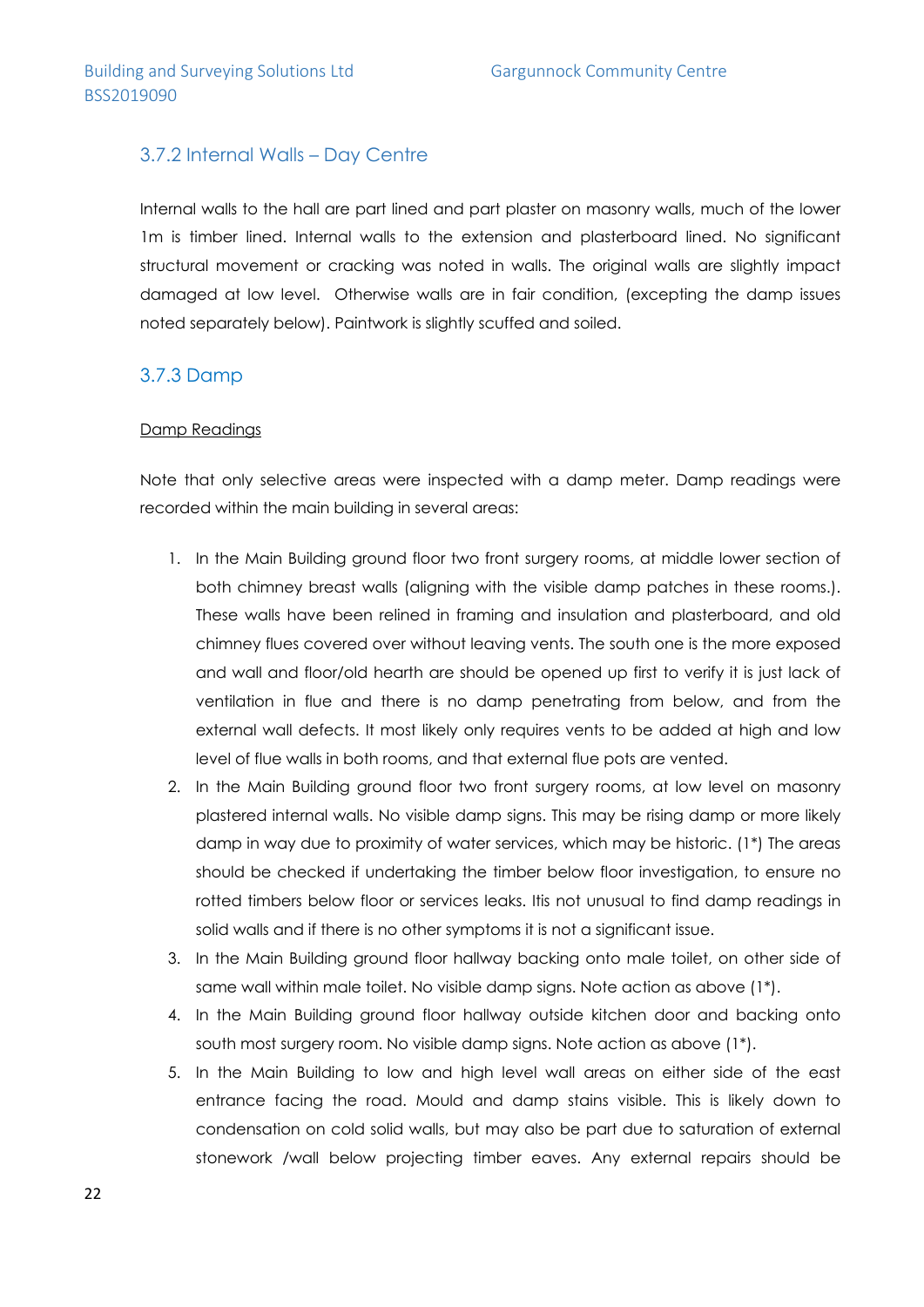### 3.7.2 Internal Walls – Day Centre

Internal walls to the hall are part lined and part plaster on masonry walls, much of the lower 1m is timber lined. Internal walls to the extension and plasterboard lined. No significant structural movement or cracking was noted in walls. The original walls are slightly impact damaged at low level. Otherwise walls are in fair condition, (excepting the damp issues noted separately below). Paintwork is slightly scuffed and soiled.

### 3.7.3 Damp

#### Damp Readings

Note that only selective areas were inspected with a damp meter. Damp readings were recorded within the main building in several areas:

- 1. In the Main Building ground floor two front surgery rooms, at middle lower section of both chimney breast walls (aligning with the visible damp patches in these rooms.). These walls have been relined in framing and insulation and plasterboard, and old chimney flues covered over without leaving vents. The south one is the more exposed and wall and floor/old hearth are should be opened up first to verify it is just lack of ventilation in flue and there is no damp penetrating from below, and from the external wall defects. It most likely only requires vents to be added at high and low level of flue walls in both rooms, and that external flue pots are vented.
- 2. In the Main Building ground floor two front surgery rooms, at low level on masonry plastered internal walls. No visible damp signs. This may be rising damp or more likely damp in way due to proximity of water services, which may be historic. (1\*) The areas should be checked if undertaking the timber below floor investigation, to ensure no rotted timbers below floor or services leaks. Itis not unusual to find damp readings in solid walls and if there is no other symptoms it is not a significant issue.
- 3. In the Main Building ground floor hallway backing onto male toilet, on other side of same wall within male toilet. No visible damp signs. Note action as above (1\*).
- 4. In the Main Building ground floor hallway outside kitchen door and backing onto south most surgery room. No visible damp signs. Note action as above (1\*).
- 5. In the Main Building to low and high level wall areas on either side of the east entrance facing the road. Mould and damp stains visible. This is likely down to condensation on cold solid walls, but may also be part due to saturation of external stonework /wall below projecting timber eaves. Any external repairs should be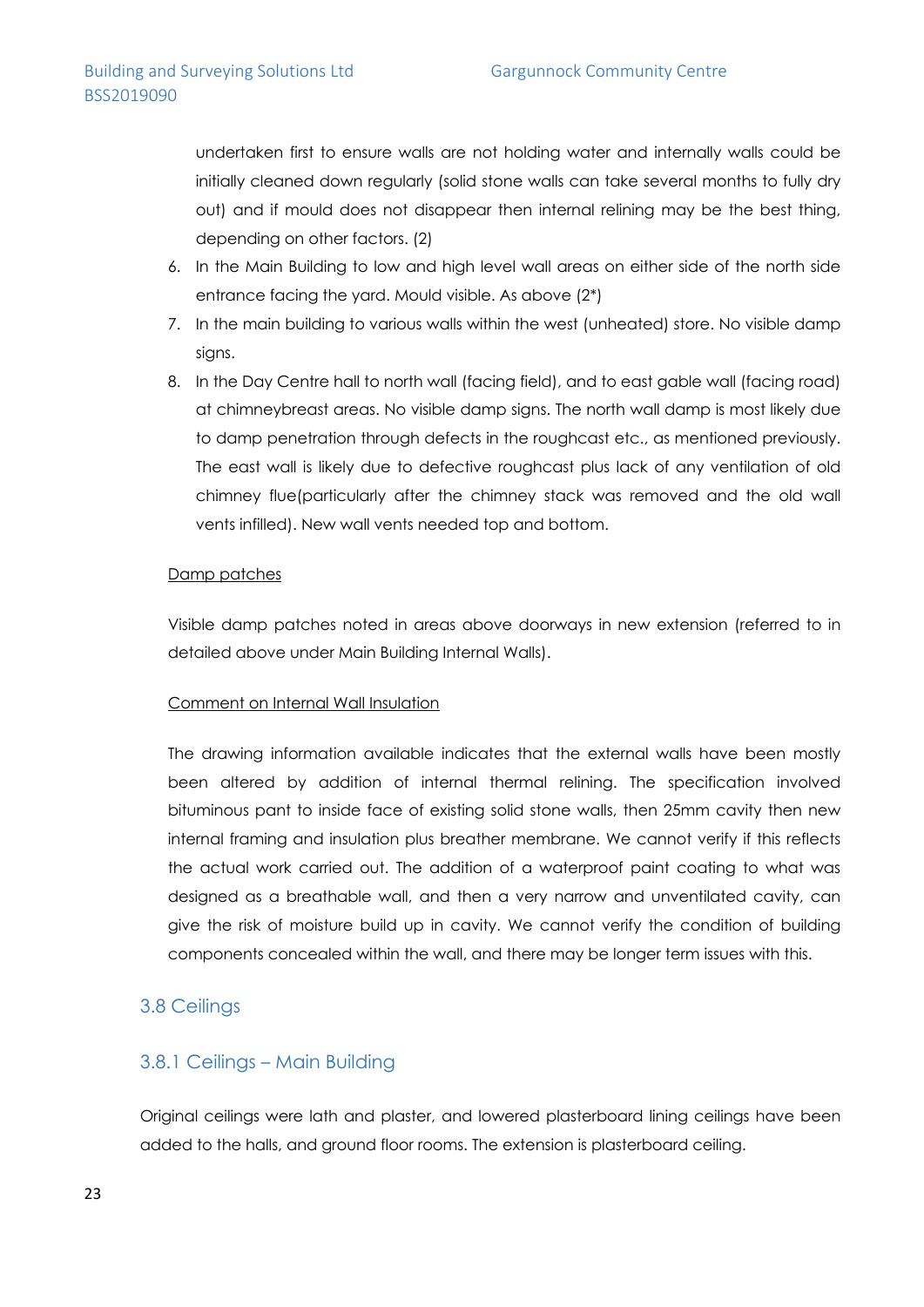undertaken first to ensure walls are not holding water and internally walls could be initially cleaned down regularly (solid stone walls can take several months to fully dry out) and if mould does not disappear then internal relining may be the best thing, depending on other factors. (2)

- 6. In the Main Building to low and high level wall areas on either side of the north side entrance facing the yard. Mould visible. As above (2\*)
- 7. In the main building to various walls within the west (unheated) store. No visible damp signs.
- 8. In the Day Centre hall to north wall (facing field), and to east gable wall (facing road) at chimneybreast areas. No visible damp signs. The north wall damp is most likely due to damp penetration through defects in the roughcast etc., as mentioned previously. The east wall is likely due to defective roughcast plus lack of any ventilation of old chimney flue(particularly after the chimney stack was removed and the old wall vents infilled). New wall vents needed top and bottom.

#### Damp patches

Visible damp patches noted in areas above doorways in new extension (referred to in detailed above under Main Building Internal Walls).

### Comment on Internal Wall Insulation

The drawing information available indicates that the external walls have been mostly been altered by addition of internal thermal relining. The specification involved bituminous pant to inside face of existing solid stone walls, then 25mm cavity then new internal framing and insulation plus breather membrane. We cannot verify if this reflects the actual work carried out. The addition of a waterproof paint coating to what was designed as a breathable wall, and then a very narrow and unventilated cavity, can give the risk of moisture build up in cavity. We cannot verify the condition of building components concealed within the wall, and there may be longer term issues with this.

### 3.8 Ceilings

### 3.8.1 Ceilings – Main Building

Original ceilings were lath and plaster, and lowered plasterboard lining ceilings have been added to the halls, and ground floor rooms. The extension is plasterboard ceiling.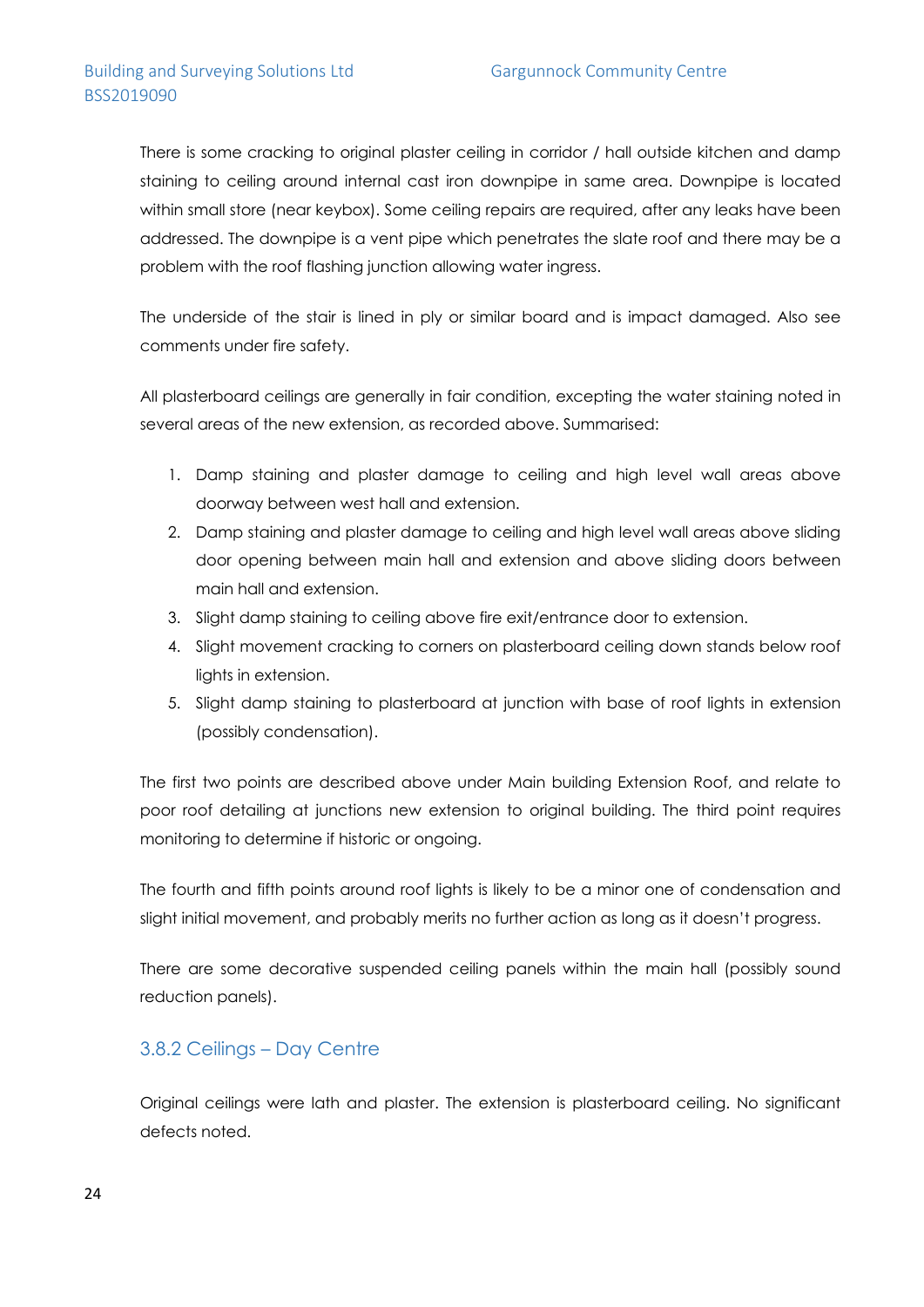There is some cracking to original plaster ceiling in corridor / hall outside kitchen and damp staining to ceiling around internal cast iron downpipe in same area. Downpipe is located within small store (near keybox). Some ceiling repairs are required, after any leaks have been addressed. The downpipe is a vent pipe which penetrates the slate roof and there may be a problem with the roof flashing junction allowing water ingress.

The underside of the stair is lined in ply or similar board and is impact damaged. Also see comments under fire safety.

All plasterboard ceilings are generally in fair condition, excepting the water staining noted in several areas of the new extension, as recorded above. Summarised:

- 1. Damp staining and plaster damage to ceiling and high level wall areas above doorway between west hall and extension.
- 2. Damp staining and plaster damage to ceiling and high level wall areas above sliding door opening between main hall and extension and above sliding doors between main hall and extension.
- 3. Slight damp staining to ceiling above fire exit/entrance door to extension.
- 4. Slight movement cracking to corners on plasterboard ceiling down stands below roof lights in extension.
- 5. Slight damp staining to plasterboard at junction with base of roof lights in extension (possibly condensation).

The first two points are described above under Main building Extension Roof, and relate to poor roof detailing at junctions new extension to original building. The third point requires monitoring to determine if historic or ongoing.

The fourth and fifth points around roof lights is likely to be a minor one of condensation and slight initial movement, and probably merits no further action as long as it doesn't progress.

There are some decorative suspended ceiling panels within the main hall (possibly sound reduction panels).

### 3.8.2 Ceilings – Day Centre

Original ceilings were lath and plaster. The extension is plasterboard ceiling. No significant defects noted.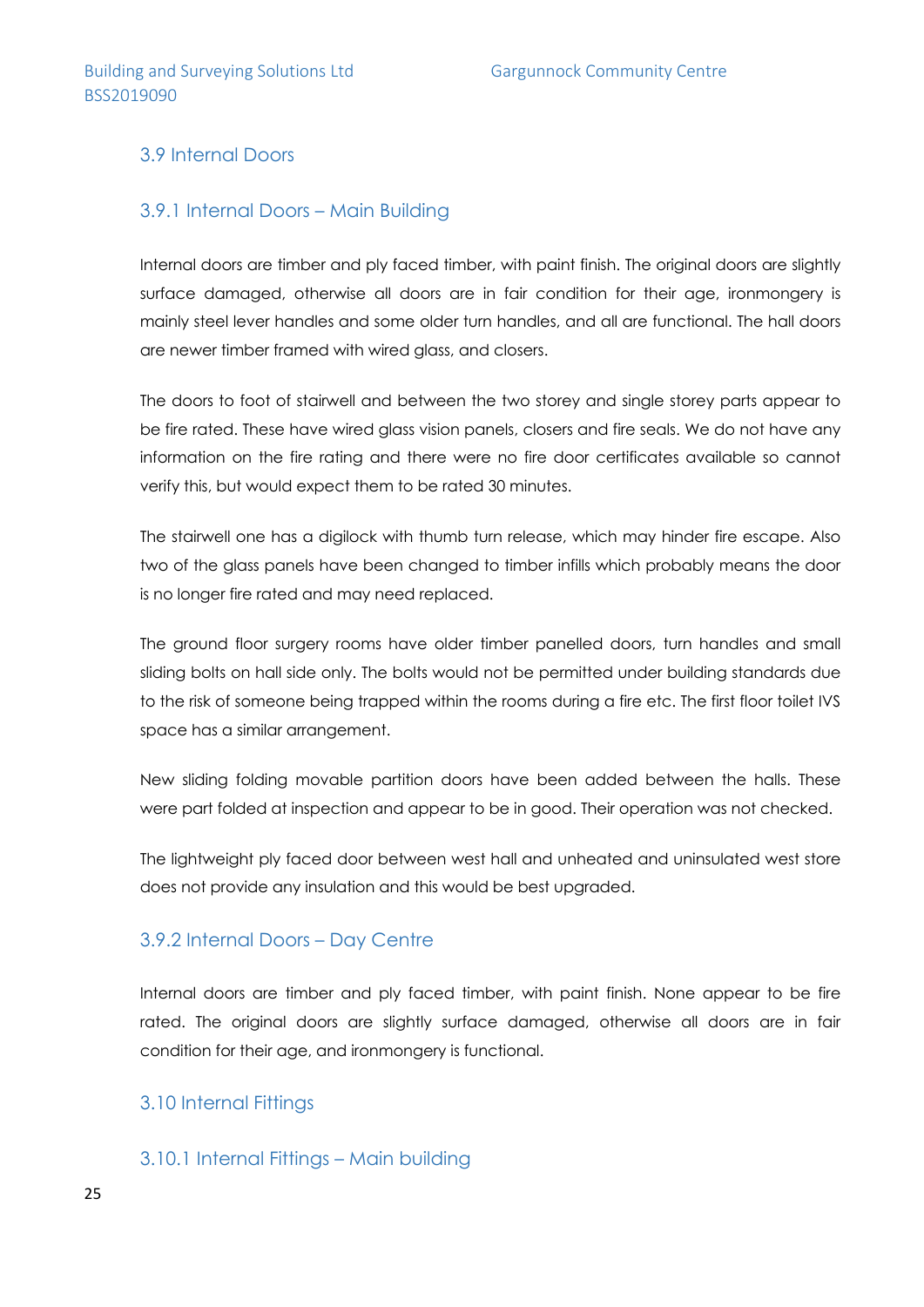### 3.9 Internal Doors

### 3.9.1 Internal Doors – Main Building

Internal doors are timber and ply faced timber, with paint finish. The original doors are slightly surface damaged, otherwise all doors are in fair condition for their age, ironmongery is mainly steel lever handles and some older turn handles, and all are functional. The hall doors are newer timber framed with wired glass, and closers.

The doors to foot of stairwell and between the two storey and single storey parts appear to be fire rated. These have wired glass vision panels, closers and fire seals. We do not have any information on the fire rating and there were no fire door certificates available so cannot verify this, but would expect them to be rated 30 minutes.

The stairwell one has a digilock with thumb turn release, which may hinder fire escape. Also two of the glass panels have been changed to timber infills which probably means the door is no longer fire rated and may need replaced.

The ground floor surgery rooms have older timber panelled doors, turn handles and small sliding bolts on hall side only. The bolts would not be permitted under building standards due to the risk of someone being trapped within the rooms during a fire etc. The first floor toilet IVS space has a similar arrangement.

New sliding folding movable partition doors have been added between the halls. These were part folded at inspection and appear to be in good. Their operation was not checked.

The lightweight ply faced door between west hall and unheated and uninsulated west store does not provide any insulation and this would be best upgraded.

### 3.9.2 Internal Doors – Day Centre

Internal doors are timber and ply faced timber, with paint finish. None appear to be fire rated. The original doors are slightly surface damaged, otherwise all doors are in fair condition for their age, and ironmongery is functional.

### 3.10 Internal Fittings

3.10.1 Internal Fittings – Main building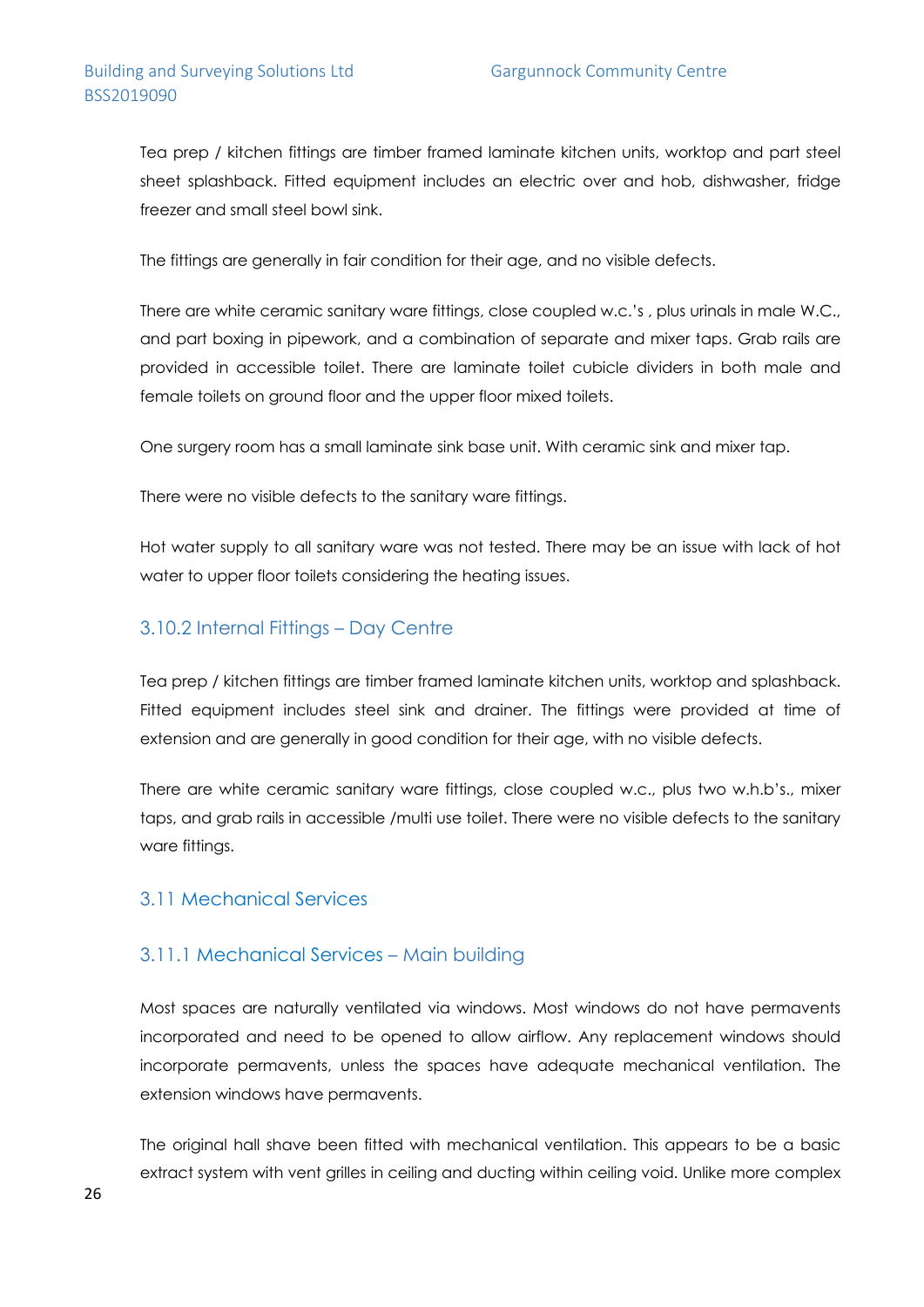### Building and Surveying Solutions Ltd
Gargunnock Community Centre BSS2019090

Tea prep / kitchen fittings are timber framed laminate kitchen units, worktop and part steel sheet splashback. Fitted equipment includes an electric over and hob, dishwasher, fridge freezer and small steel bowl sink.

The fittings are generally in fair condition for their age, and no visible defects.

There are white ceramic sanitary ware fittings, close coupled w.c.'s , plus urinals in male W.C., and part boxing in pipework, and a combination of separate and mixer taps. Grab rails are provided in accessible toilet. There are laminate toilet cubicle dividers in both male and female toilets on ground floor and the upper floor mixed toilets.

One surgery room has a small laminate sink base unit. With ceramic sink and mixer tap.

There were no visible defects to the sanitary ware fittings.

Hot water supply to all sanitary ware was not tested. There may be an issue with lack of hot water to upper floor toilets considering the heating issues.

### 3.10.2 Internal Fittings – Day Centre

Tea prep / kitchen fittings are timber framed laminate kitchen units, worktop and splashback. Fitted equipment includes steel sink and drainer. The fittings were provided at time of extension and are generally in good condition for their age, with no visible defects.

There are white ceramic sanitary ware fittings, close coupled w.c., plus two w.h.b's., mixer taps, and grab rails in accessible /multi use toilet. There were no visible defects to the sanitary ware fittings.

### 3.11 Mechanical Services

### 3.11.1 Mechanical Services – Main building

Most spaces are naturally ventilated via windows. Most windows do not have permavents incorporated and need to be opened to allow airflow. Any replacement windows should incorporate permavents, unless the spaces have adequate mechanical ventilation. The extension windows have permavents.

The original hall shave been fitted with mechanical ventilation. This appears to be a basic extract system with vent grilles in ceiling and ducting within ceiling void. Unlike more complex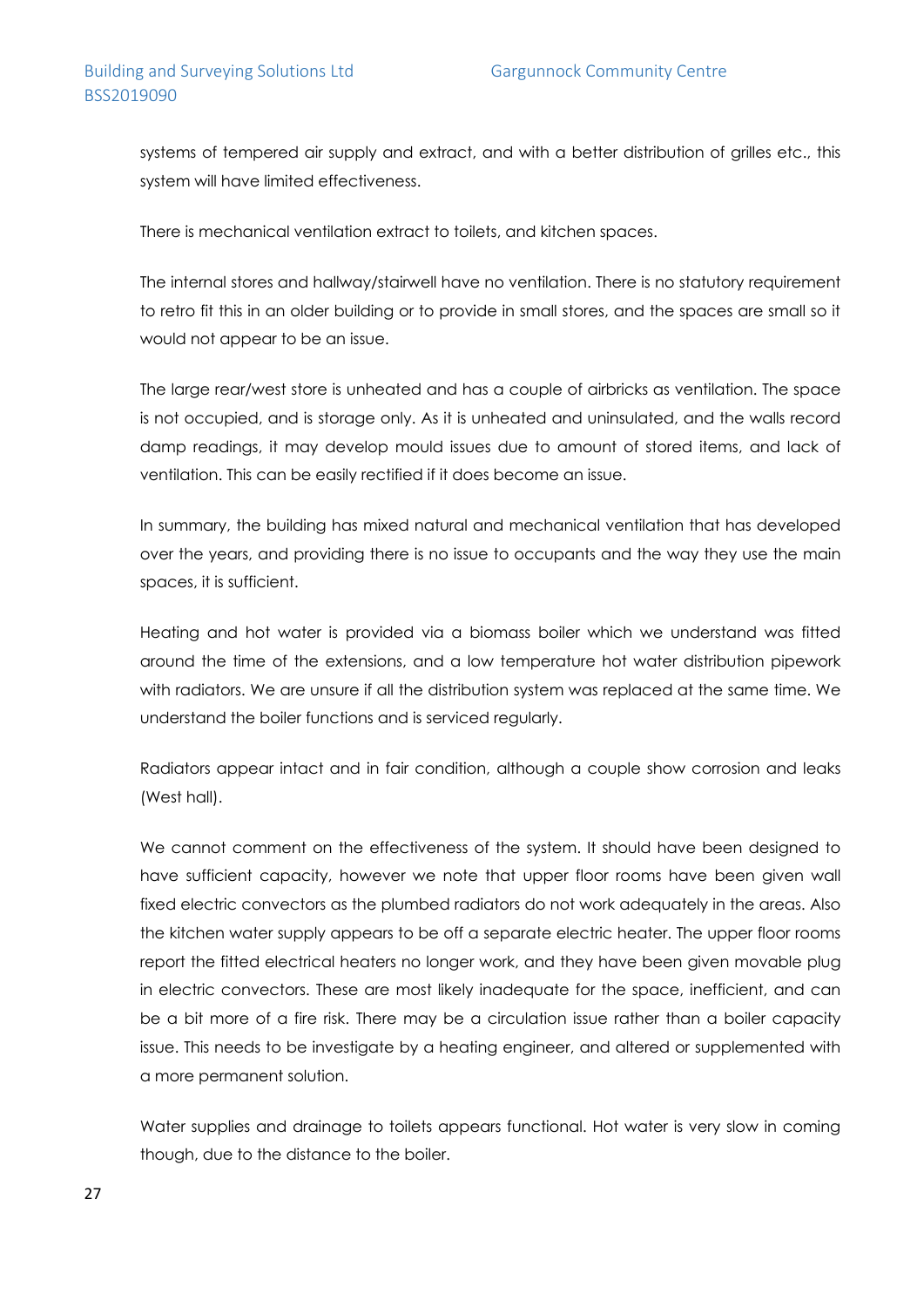systems of tempered air supply and extract, and with a better distribution of grilles etc., this system will have limited effectiveness.

There is mechanical ventilation extract to toilets, and kitchen spaces.

The internal stores and hallway/stairwell have no ventilation. There is no statutory requirement to retro fit this in an older building or to provide in small stores, and the spaces are small so it would not appear to be an issue.

The large rear/west store is unheated and has a couple of airbricks as ventilation. The space is not occupied, and is storage only. As it is unheated and uninsulated, and the walls record damp readings, it may develop mould issues due to amount of stored items, and lack of ventilation. This can be easily rectified if it does become an issue.

In summary, the building has mixed natural and mechanical ventilation that has developed over the years, and providing there is no issue to occupants and the way they use the main spaces, it is sufficient.

Heating and hot water is provided via a biomass boiler which we understand was fitted around the time of the extensions, and a low temperature hot water distribution pipework with radiators. We are unsure if all the distribution system was replaced at the same time. We understand the boiler functions and is serviced regularly.

Radiators appear intact and in fair condition, although a couple show corrosion and leaks (West hall).

We cannot comment on the effectiveness of the system. It should have been designed to have sufficient capacity, however we note that upper floor rooms have been given wall fixed electric convectors as the plumbed radiators do not work adequately in the areas. Also the kitchen water supply appears to be off a separate electric heater. The upper floor rooms report the fitted electrical heaters no longer work, and they have been given movable plug in electric convectors. These are most likely inadequate for the space, inefficient, and can be a bit more of a fire risk. There may be a circulation issue rather than a boiler capacity issue. This needs to be investigate by a heating engineer, and altered or supplemented with a more permanent solution.

Water supplies and drainage to toilets appears functional. Hot water is very slow in coming though, due to the distance to the boiler.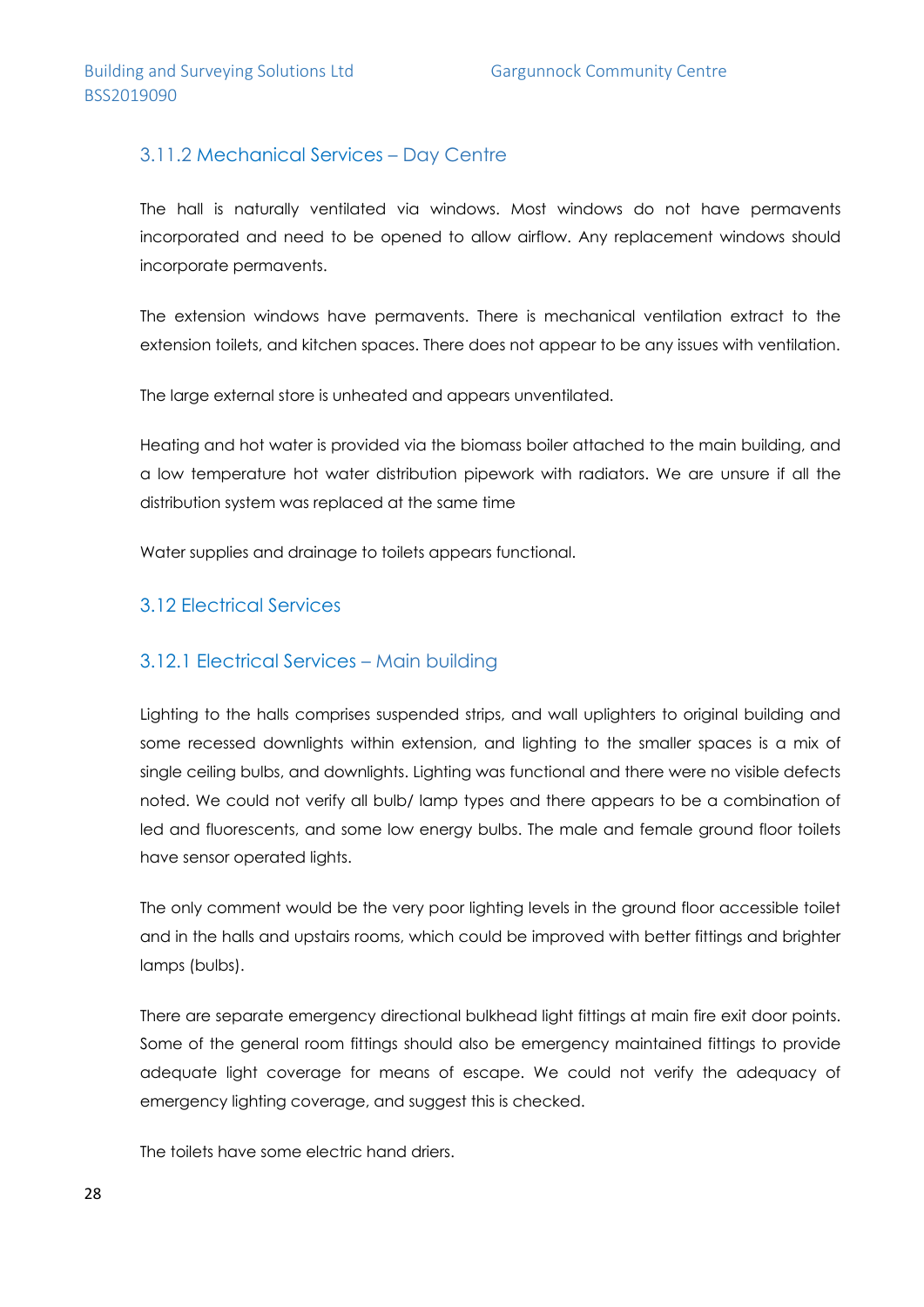### 3.11.2 Mechanical Services – Day Centre

The hall is naturally ventilated via windows. Most windows do not have permavents incorporated and need to be opened to allow airflow. Any replacement windows should incorporate permavents.

The extension windows have permavents. There is mechanical ventilation extract to the extension toilets, and kitchen spaces. There does not appear to be any issues with ventilation.

The large external store is unheated and appears unventilated.

Heating and hot water is provided via the biomass boiler attached to the main building, and a low temperature hot water distribution pipework with radiators. We are unsure if all the distribution system was replaced at the same time

Water supplies and drainage to toilets appears functional.

### 3.12 Electrical Services

### 3.12.1 Electrical Services – Main building

Lighting to the halls comprises suspended strips, and wall uplighters to original building and some recessed downlights within extension, and lighting to the smaller spaces is a mix of single ceiling bulbs, and downlights. Lighting was functional and there were no visible defects noted. We could not verify all bulb/ lamp types and there appears to be a combination of led and fluorescents, and some low energy bulbs. The male and female ground floor toilets have sensor operated lights.

The only comment would be the very poor lighting levels in the ground floor accessible toilet and in the halls and upstairs rooms, which could be improved with better fittings and brighter lamps (bulbs).

There are separate emergency directional bulkhead light fittings at main fire exit door points. Some of the general room fittings should also be emergency maintained fittings to provide adequate light coverage for means of escape. We could not verify the adequacy of emergency lighting coverage, and suggest this is checked.

The toilets have some electric hand driers.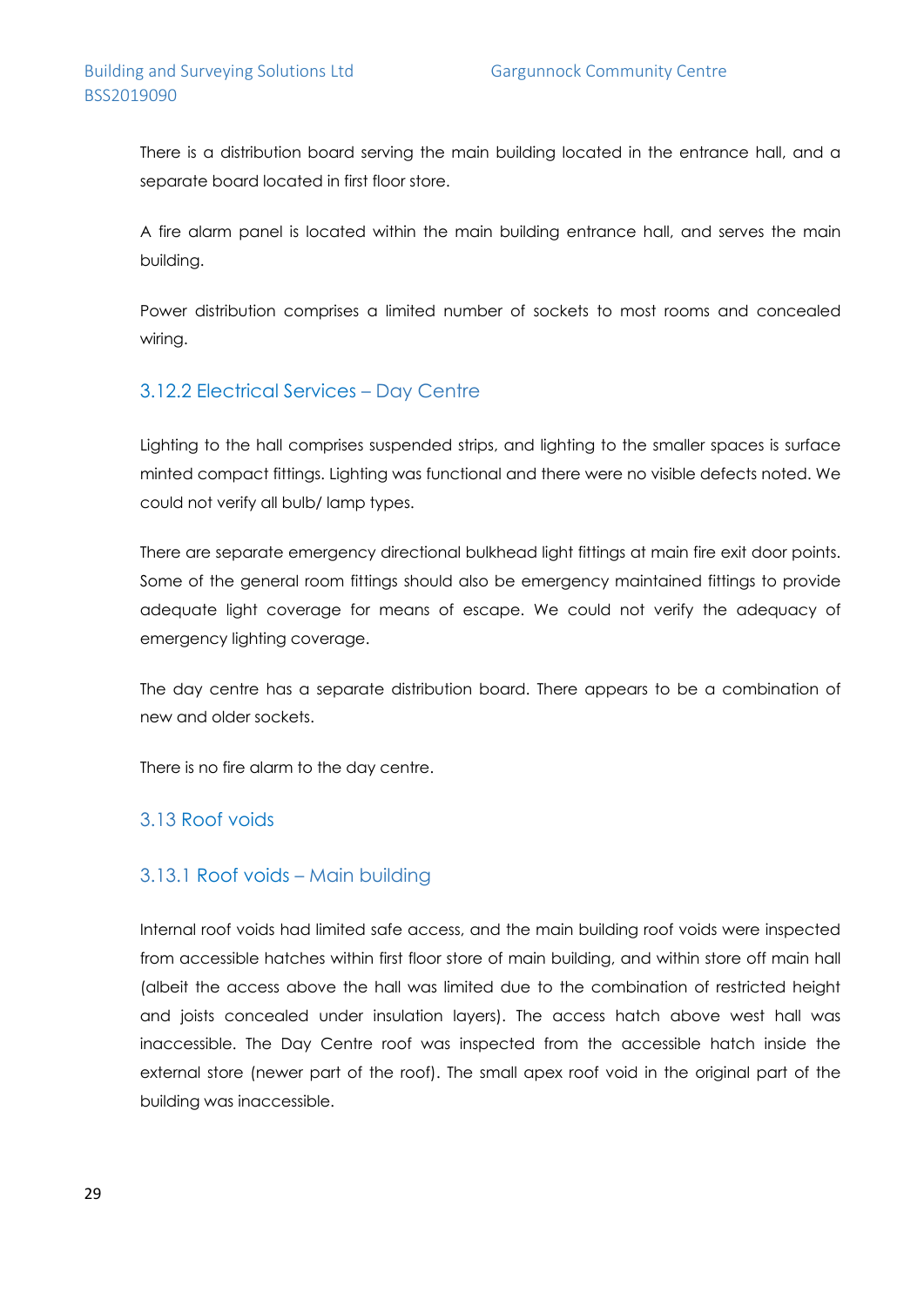There is a distribution board serving the main building located in the entrance hall, and a separate board located in first floor store.

A fire alarm panel is located within the main building entrance hall, and serves the main building.

Power distribution comprises a limited number of sockets to most rooms and concealed wiring.

### 3.12.2 Electrical Services – Day Centre

Lighting to the hall comprises suspended strips, and lighting to the smaller spaces is surface minted compact fittings. Lighting was functional and there were no visible defects noted. We could not verify all bulb/ lamp types.

There are separate emergency directional bulkhead light fittings at main fire exit door points. Some of the general room fittings should also be emergency maintained fittings to provide adequate light coverage for means of escape. We could not verify the adequacy of emergency lighting coverage.

The day centre has a separate distribution board. There appears to be a combination of new and older sockets.

There is no fire alarm to the day centre.

### 3.13 Roof voids

### 3.13.1 Roof voids – Main building

Internal roof voids had limited safe access, and the main building roof voids were inspected from accessible hatches within first floor store of main building, and within store off main hall (albeit the access above the hall was limited due to the combination of restricted height and joists concealed under insulation layers). The access hatch above west hall was inaccessible. The Day Centre roof was inspected from the accessible hatch inside the external store (newer part of the roof). The small apex roof void in the original part of the building was inaccessible.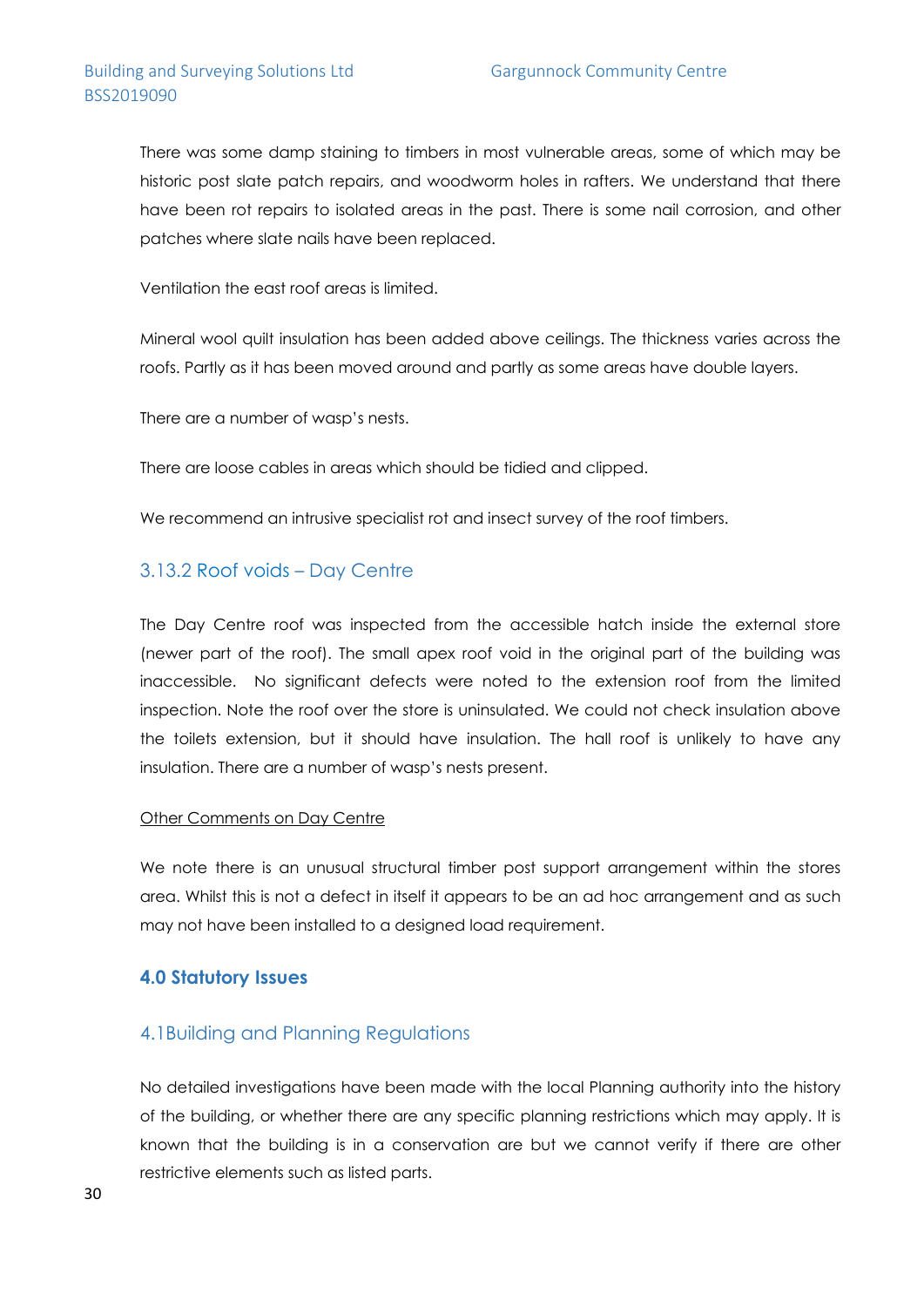There was some damp staining to timbers in most vulnerable areas, some of which may be historic post slate patch repairs, and woodworm holes in rafters. We understand that there have been rot repairs to isolated areas in the past. There is some nail corrosion, and other patches where slate nails have been replaced.

Ventilation the east roof areas is limited.

Mineral wool quilt insulation has been added above ceilings. The thickness varies across the roofs. Partly as it has been moved around and partly as some areas have double layers.

There are a number of wasp's nests.

There are loose cables in areas which should be tidied and clipped.

We recommend an intrusive specialist rot and insect survey of the roof timbers.

#### 3.13.2 Roof voids – Day Centre

The Day Centre roof was inspected from the accessible hatch inside the external store (newer part of the roof). The small apex roof void in the original part of the building was inaccessible. No significant defects were noted to the extension roof from the limited inspection. Note the roof over the store is uninsulated. We could not check insulation above the toilets extension, but it should have insulation. The hall roof is unlikely to have any insulation. There are a number of wasp's nests present.

#### Other Comments on Day Centre

We note there is an unusual structural timber post support arrangement within the stores area. Whilst this is not a defect in itself it appears to be an ad hoc arrangement and as such may not have been installed to a designed load requirement.

### **4.0 Statutory Issues**

### 4.1Building and Planning Regulations

No detailed investigations have been made with the local Planning authority into the history of the building, or whether there are any specific planning restrictions which may apply. It is known that the building is in a conservation are but we cannot verify if there are other restrictive elements such as listed parts.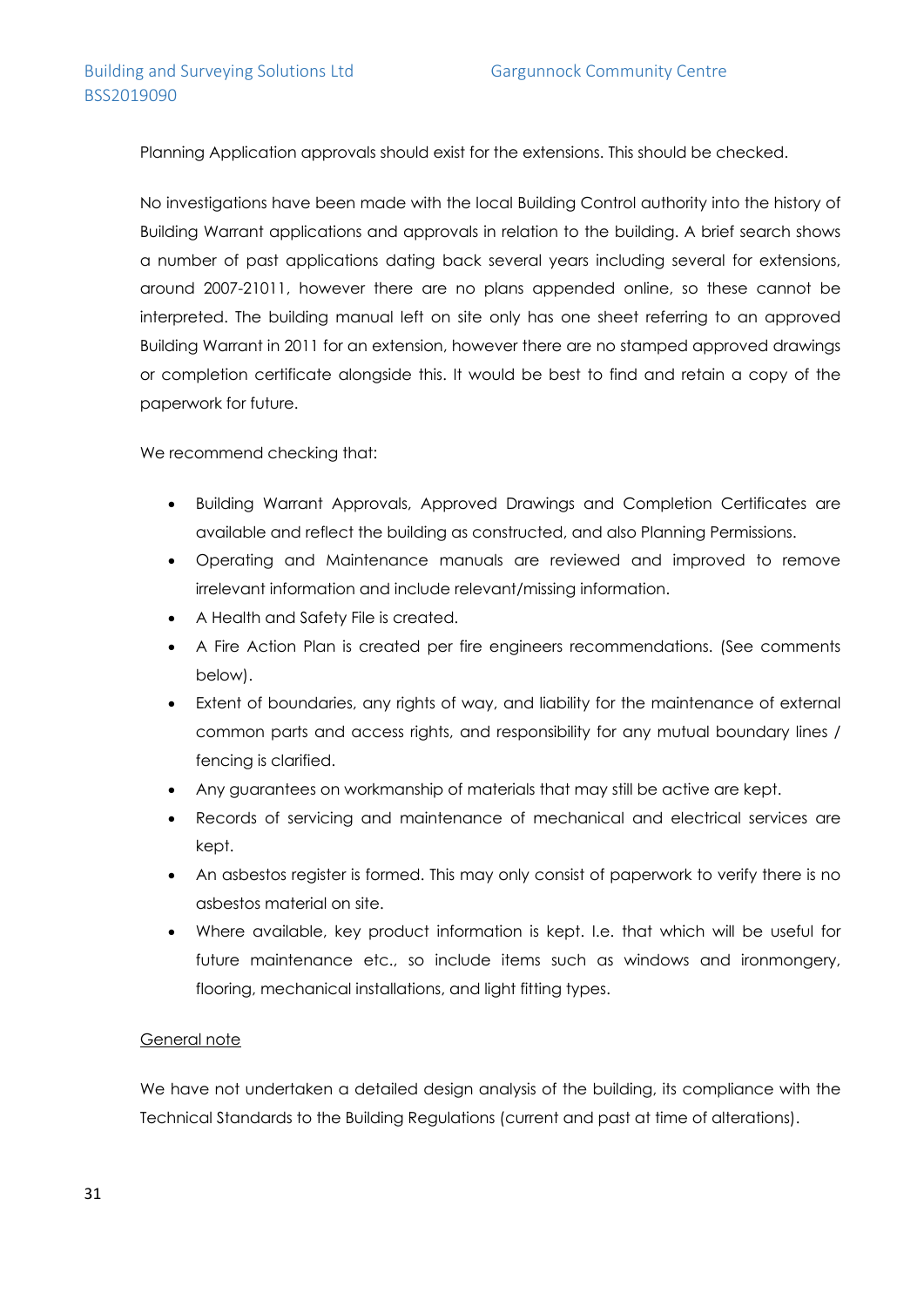Planning Application approvals should exist for the extensions. This should be checked.

No investigations have been made with the local Building Control authority into the history of Building Warrant applications and approvals in relation to the building. A brief search shows a number of past applications dating back several years including several for extensions, around 2007-21011, however there are no plans appended online, so these cannot be interpreted. The building manual left on site only has one sheet referring to an approved Building Warrant in 2011 for an extension, however there are no stamped approved drawings or completion certificate alongside this. It would be best to find and retain a copy of the paperwork for future.

We recommend checking that:

- Building Warrant Approvals, Approved Drawings and Completion Certificates are available and reflect the building as constructed, and also Planning Permissions.
- Operating and Maintenance manuals are reviewed and improved to remove irrelevant information and include relevant/missing information.
- A Health and Safety File is created.
- A Fire Action Plan is created per fire engineers recommendations. (See comments below).
- Extent of boundaries, any rights of way, and liability for the maintenance of external common parts and access rights, and responsibility for any mutual boundary lines / fencing is clarified.
- Any guarantees on workmanship of materials that may still be active are kept.
- Records of servicing and maintenance of mechanical and electrical services are kept.
- An asbestos register is formed. This may only consist of paperwork to verify there is no asbestos material on site.
- Where available, key product information is kept. I.e. that which will be useful for future maintenance etc., so include items such as windows and ironmongery, flooring, mechanical installations, and light fitting types.

#### General note

We have not undertaken a detailed design analysis of the building, its compliance with the Technical Standards to the Building Regulations (current and past at time of alterations).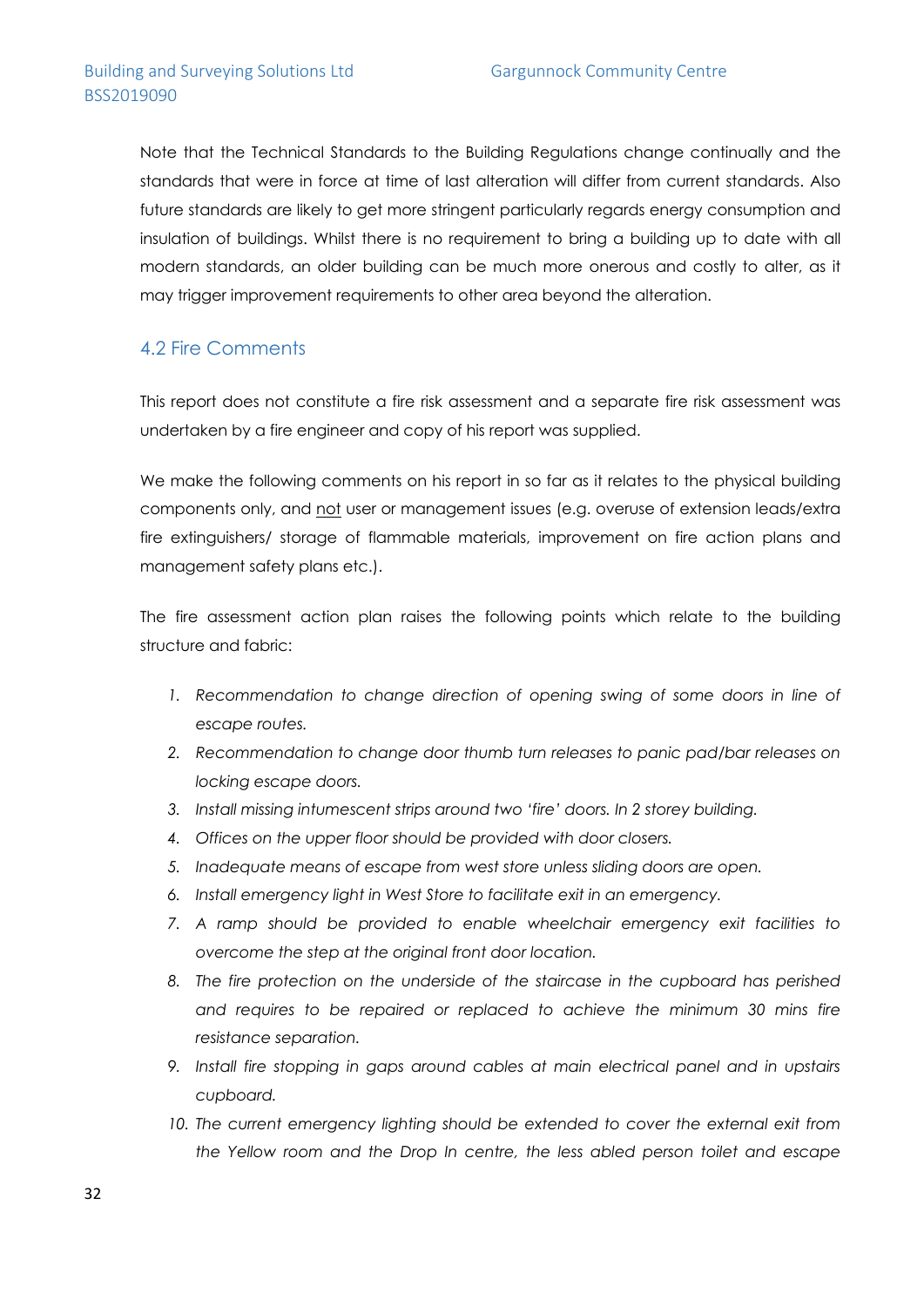Note that the Technical Standards to the Building Regulations change continually and the standards that were in force at time of last alteration will differ from current standards. Also future standards are likely to get more stringent particularly regards energy consumption and insulation of buildings. Whilst there is no requirement to bring a building up to date with all modern standards, an older building can be much more onerous and costly to alter, as it may trigger improvement requirements to other area beyond the alteration.

### 4.2 Fire Comments

This report does not constitute a fire risk assessment and a separate fire risk assessment was undertaken by a fire engineer and copy of his report was supplied.

We make the following comments on his report in so far as it relates to the physical building components only, and not user or management issues (e.g. overuse of extension leads/extra fire extinguishers/ storage of flammable materials, improvement on fire action plans and management safety plans etc.).

The fire assessment action plan raises the following points which relate to the building structure and fabric:

- 1. Recommendation to change direction of opening swing of some doors in line of *escape routes.*
- *2. Recommendation to change door thumb turn releases to panic pad/bar releases on locking escape doors.*
- *3. Install missing intumescent strips around two 'fire' doors. In 2 storey building.*
- *4. Offices on the upper floor should be provided with door closers.*
- *5. Inadequate means of escape from west store unless sliding doors are open.*
- *6. Install emergency light in West Store to facilitate exit in an emergency.*
- *7. A ramp should be provided to enable wheelchair emergency exit facilities to overcome the step at the original front door location.*
- *8. The fire protection on the underside of the staircase in the cupboard has perished and requires to be repaired or replaced to achieve the minimum 30 mins fire resistance separation.*
- *9. Install fire stopping in gaps around cables at main electrical panel and in upstairs cupboard.*
- 10. The current emergency lighting should be extended to cover the external exit from *the Yellow room and the Drop In centre, the less abled person toilet and escape*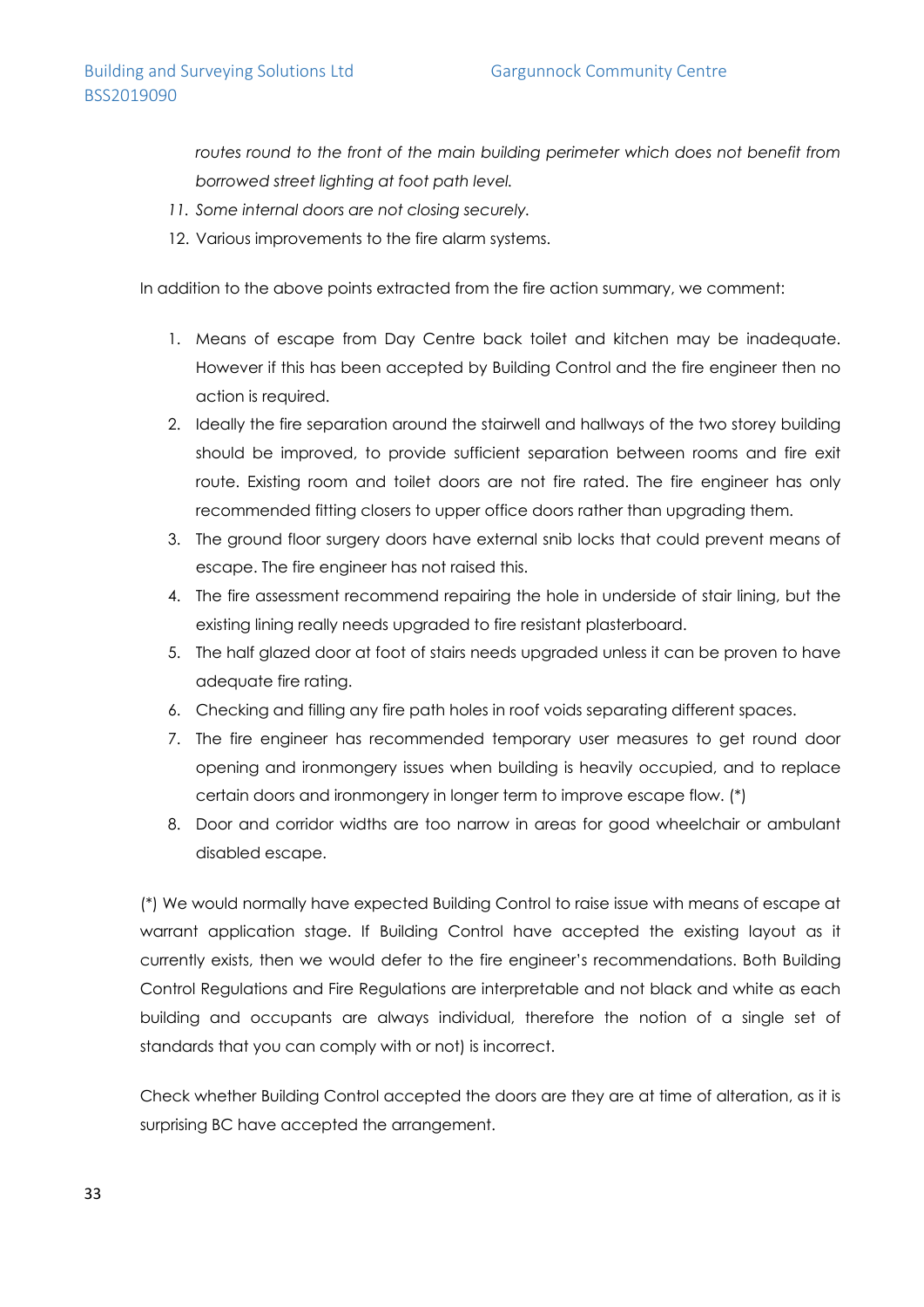*routes round to the front of the main building perimeter which does not benefit from borrowed street lighting at foot path level.*

- *11. Some internal doors are not closing securely.*
- 12. Various improvements to the fire alarm systems.

In addition to the above points extracted from the fire action summary, we comment:

- 1. Means of escape from Day Centre back toilet and kitchen may be inadequate. However if this has been accepted by Building Control and the fire engineer then no action is required.
- 2. Ideally the fire separation around the stairwell and hallways of the two storey building should be improved, to provide sufficient separation between rooms and fire exit route. Existing room and toilet doors are not fire rated. The fire engineer has only recommended fitting closers to upper office doors rather than upgrading them.
- 3. The ground floor surgery doors have external snib locks that could prevent means of escape. The fire engineer has not raised this.
- 4. The fire assessment recommend repairing the hole in underside of stair lining, but the existing lining really needs upgraded to fire resistant plasterboard.
- 5. The half glazed door at foot of stairs needs upgraded unless it can be proven to have adequate fire rating.
- 6. Checking and filling any fire path holes in roof voids separating different spaces.
- 7. The fire engineer has recommended temporary user measures to get round door opening and ironmongery issues when building is heavily occupied, and to replace certain doors and ironmongery in longer term to improve escape flow. (\*)
- 8. Door and corridor widths are too narrow in areas for good wheelchair or ambulant disabled escape.

(\*) We would normally have expected Building Control to raise issue with means of escape at warrant application stage. If Building Control have accepted the existing layout as it currently exists, then we would defer to the fire engineer's recommendations. Both Building Control Regulations and Fire Regulations are interpretable and not black and white as each building and occupants are always individual, therefore the notion of a single set of standards that you can comply with or not) is incorrect.

Check whether Building Control accepted the doors are they are at time of alteration, as it is surprising BC have accepted the arrangement.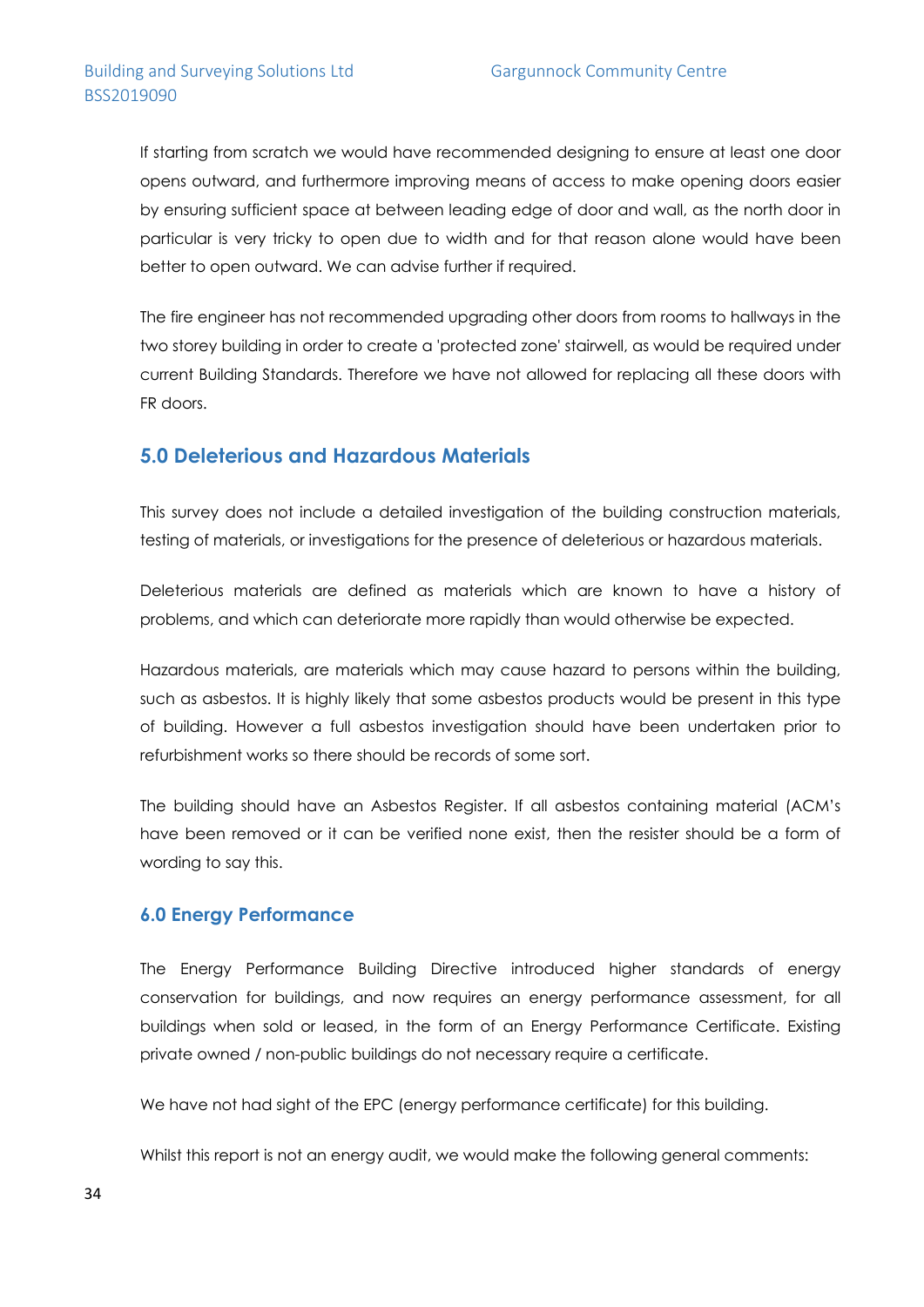If starting from scratch we would have recommended designing to ensure at least one door opens outward, and furthermore improving means of access to make opening doors easier by ensuring sufficient space at between leading edge of door and wall, as the north door in particular is very tricky to open due to width and for that reason alone would have been better to open outward. We can advise further if required.

The fire engineer has not recommended upgrading other doors from rooms to hallways in the two storey building in order to create a 'protected zone' stairwell, as would be required under current Building Standards. Therefore we have not allowed for replacing all these doors with FR doors.

### **5.0 Deleterious and Hazardous Materials**

This survey does not include a detailed investigation of the building construction materials, testing of materials, or investigations for the presence of deleterious or hazardous materials.

Deleterious materials are defined as materials which are known to have a history of problems, and which can deteriorate more rapidly than would otherwise be expected.

Hazardous materials, are materials which may cause hazard to persons within the building, such as asbestos. It is highly likely that some asbestos products would be present in this type of building. However a full asbestos investigation should have been undertaken prior to refurbishment works so there should be records of some sort.

The building should have an Asbestos Register. If all asbestos containing material (ACM's have been removed or it can be verified none exist, then the resister should be a form of wording to say this.

#### **6.0 Energy Performance**

The Energy Performance Building Directive introduced higher standards of energy conservation for buildings, and now requires an energy performance assessment, for all buildings when sold or leased, in the form of an Energy Performance Certificate. Existing private owned / non-public buildings do not necessary require a certificate.

We have not had sight of the EPC (energy performance certificate) for this building.

Whilst this report is not an energy audit, we would make the following general comments: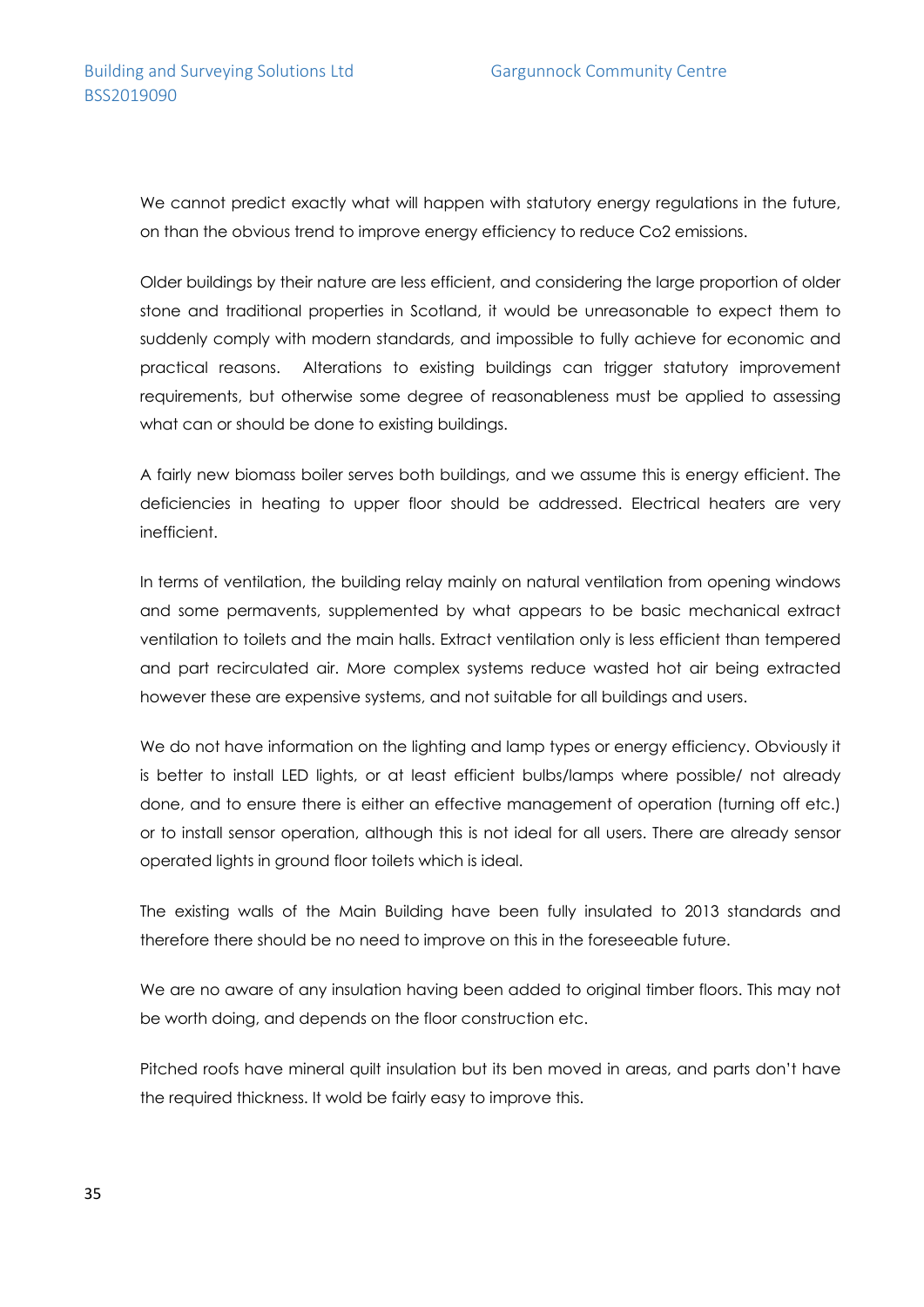We cannot predict exactly what will happen with statutory energy regulations in the future, on than the obvious trend to improve energy efficiency to reduce Co2 emissions.

Older buildings by their nature are less efficient, and considering the large proportion of older stone and traditional properties in Scotland, it would be unreasonable to expect them to suddenly comply with modern standards, and impossible to fully achieve for economic and practical reasons. Alterations to existing buildings can trigger statutory improvement requirements, but otherwise some degree of reasonableness must be applied to assessing what can or should be done to existing buildings.

A fairly new biomass boiler serves both buildings, and we assume this is energy efficient. The deficiencies in heating to upper floor should be addressed. Electrical heaters are very inefficient.

In terms of ventilation, the building relay mainly on natural ventilation from opening windows and some permavents, supplemented by what appears to be basic mechanical extract ventilation to toilets and the main halls. Extract ventilation only is less efficient than tempered and part recirculated air. More complex systems reduce wasted hot air being extracted however these are expensive systems, and not suitable for all buildings and users.

We do not have information on the lighting and lamp types or energy efficiency. Obviously it is better to install LED lights, or at least efficient bulbs/lamps where possible/ not already done, and to ensure there is either an effective management of operation (turning off etc.) or to install sensor operation, although this is not ideal for all users. There are already sensor operated lights in ground floor toilets which is ideal.

The existing walls of the Main Building have been fully insulated to 2013 standards and therefore there should be no need to improve on this in the foreseeable future.

We are no aware of any insulation having been added to original timber floors. This may not be worth doing, and depends on the floor construction etc.

Pitched roofs have mineral quilt insulation but its ben moved in areas, and parts don't have the required thickness. It wold be fairly easy to improve this.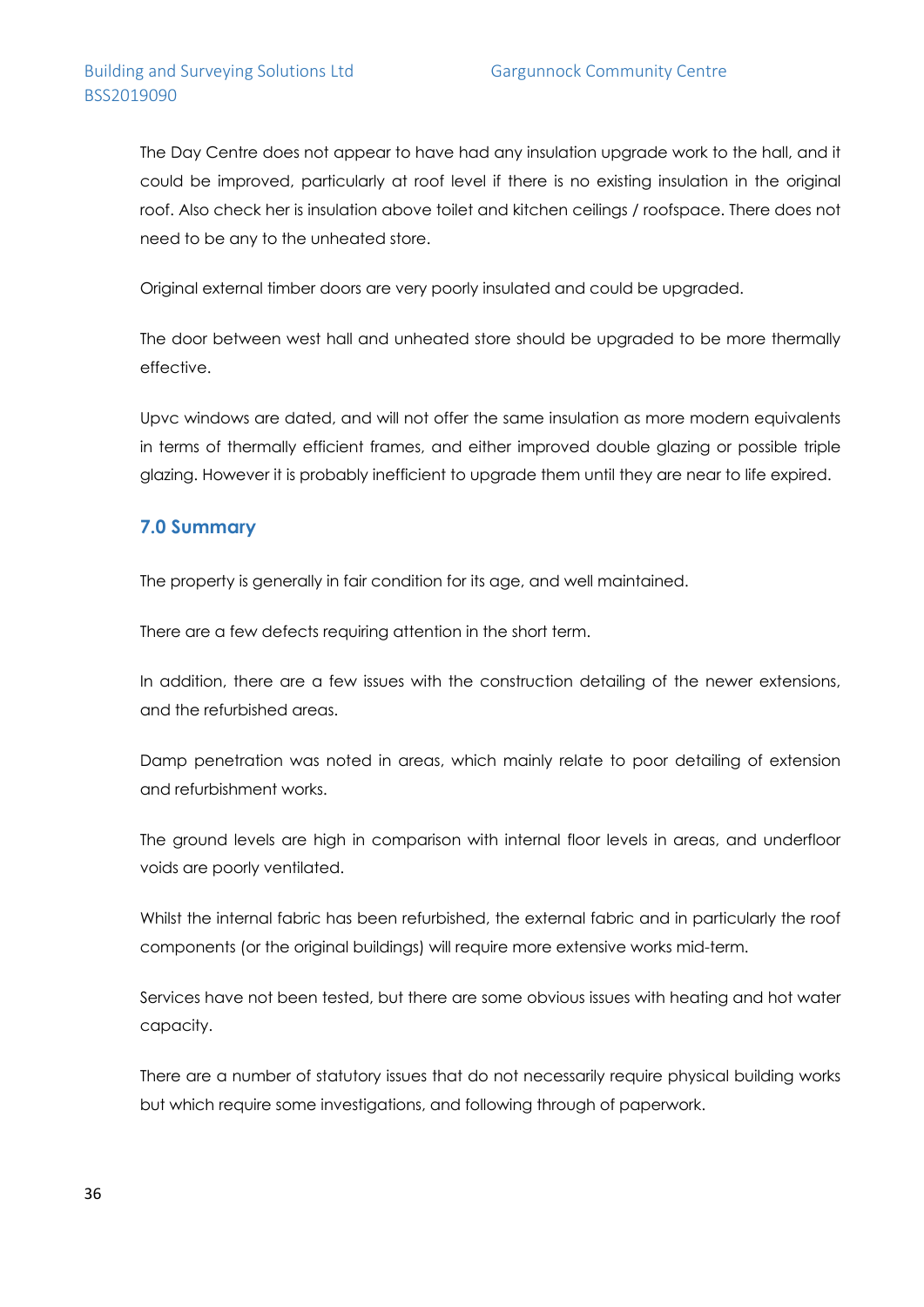The Day Centre does not appear to have had any insulation upgrade work to the hall, and it could be improved, particularly at roof level if there is no existing insulation in the original roof. Also check her is insulation above toilet and kitchen ceilings / roofspace. There does not need to be any to the unheated store.

Original external timber doors are very poorly insulated and could be upgraded.

The door between west hall and unheated store should be upgraded to be more thermally effective.

Upvc windows are dated, and will not offer the same insulation as more modern equivalents in terms of thermally efficient frames, and either improved double glazing or possible triple glazing. However it is probably inefficient to upgrade them until they are near to life expired.

### **7.0 Summary**

The property is generally in fair condition for its age, and well maintained.

There are a few defects requiring attention in the short term.

In addition, there are a few issues with the construction detailing of the newer extensions, and the refurbished areas.

Damp penetration was noted in areas, which mainly relate to poor detailing of extension and refurbishment works.

The ground levels are high in comparison with internal floor levels in areas, and underfloor voids are poorly ventilated.

Whilst the internal fabric has been refurbished, the external fabric and in particularly the roof components (or the original buildings) will require more extensive works mid-term.

Services have not been tested, but there are some obvious issues with heating and hot water capacity.

There are a number of statutory issues that do not necessarily require physical building works but which require some investigations, and following through of paperwork.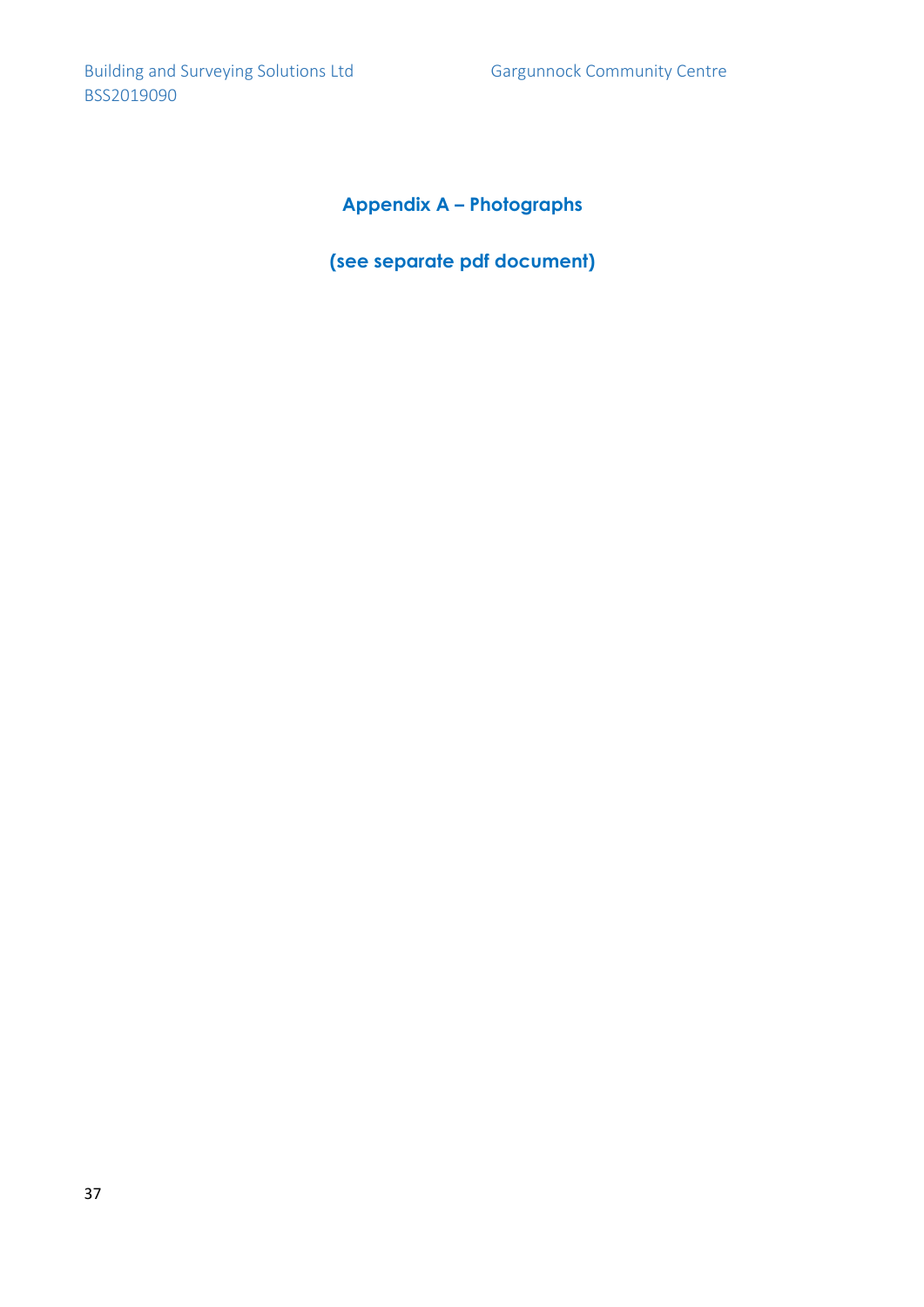# **Appendix A – Photographs**

**(see separate pdf document)**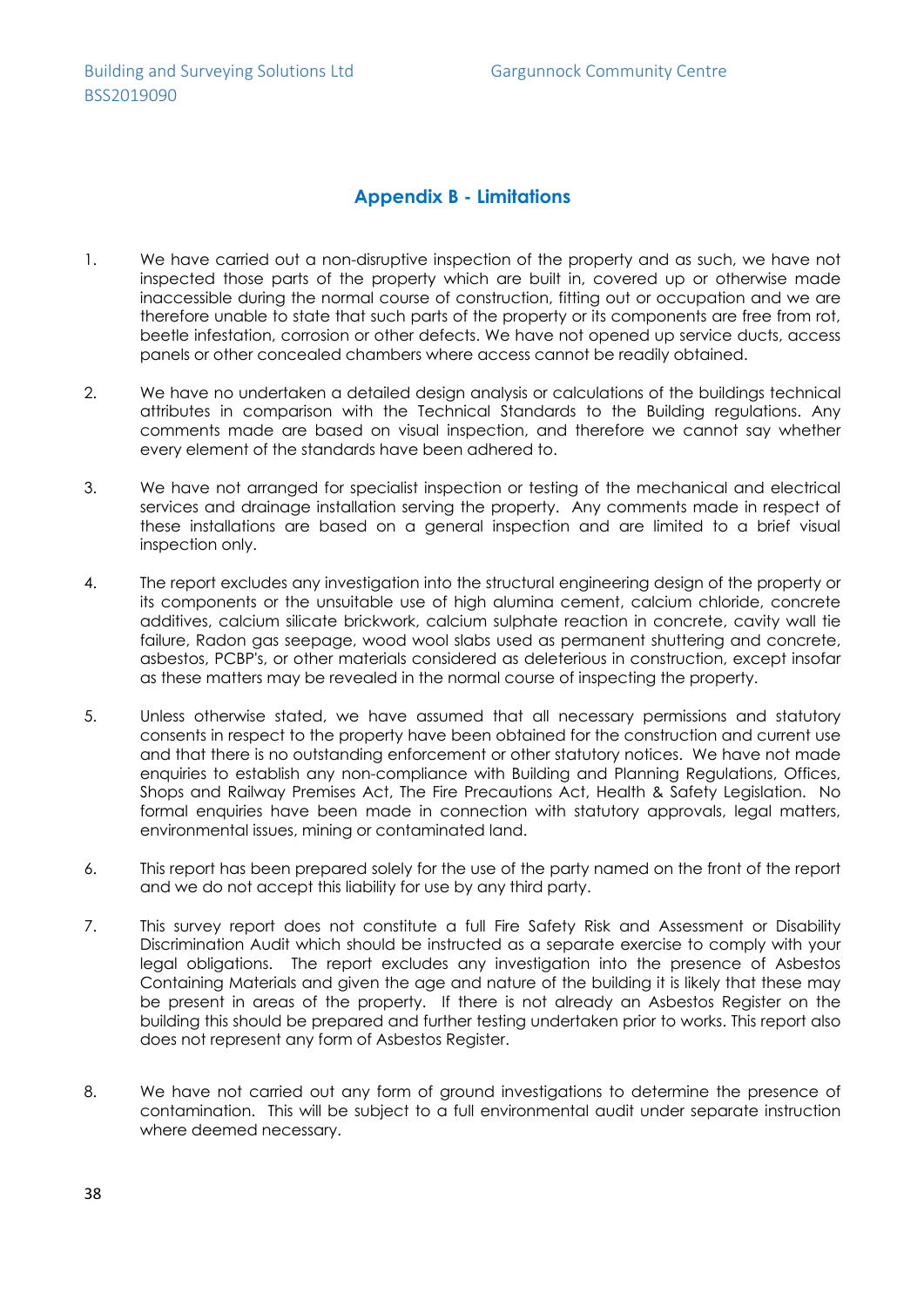### **Appendix B - Limitations**

- 1. We have carried out a non-disruptive inspection of the property and as such, we have not inspected those parts of the property which are built in, covered up or otherwise made inaccessible during the normal course of construction, fitting out or occupation and we are therefore unable to state that such parts of the property or its components are free from rot, beetle infestation, corrosion or other defects. We have not opened up service ducts, access panels or other concealed chambers where access cannot be readily obtained.
- 2. We have no undertaken a detailed design analysis or calculations of the buildings technical attributes in comparison with the Technical Standards to the Building regulations. Any comments made are based on visual inspection, and therefore we cannot say whether every element of the standards have been adhered to.
- 3. We have not arranged for specialist inspection or testing of the mechanical and electrical services and drainage installation serving the property. Any comments made in respect of these installations are based on a general inspection and are limited to a brief visual inspection only.
- 4. The report excludes any investigation into the structural engineering design of the property or its components or the unsuitable use of high alumina cement, calcium chloride, concrete additives, calcium silicate brickwork, calcium sulphate reaction in concrete, cavity wall tie failure, Radon gas seepage, wood wool slabs used as permanent shuttering and concrete, asbestos, PCBP's, or other materials considered as deleterious in construction, except insofar as these matters may be revealed in the normal course of inspecting the property.
- 5. Unless otherwise stated, we have assumed that all necessary permissions and statutory consents in respect to the property have been obtained for the construction and current use and that there is no outstanding enforcement or other statutory notices. We have not made enquiries to establish any non-compliance with Building and Planning Regulations, Offices, Shops and Railway Premises Act, The Fire Precautions Act, Health & Safety Legislation. No formal enquiries have been made in connection with statutory approvals, legal matters, environmental issues, mining or contaminated land.
- 6. This report has been prepared solely for the use of the party named on the front of the report and we do not accept this liability for use by any third party.
- 7. This survey report does not constitute a full Fire Safety Risk and Assessment or Disability Discrimination Audit which should be instructed as a separate exercise to comply with your legal obligations. The report excludes any investigation into the presence of Asbestos Containing Materials and given the age and nature of the building it is likely that these may be present in areas of the property. If there is not already an Asbestos Register on the building this should be prepared and further testing undertaken prior to works. This report also does not represent any form of Asbestos Register.
- 8. We have not carried out any form of ground investigations to determine the presence of contamination. This will be subject to a full environmental audit under separate instruction where deemed necessary.